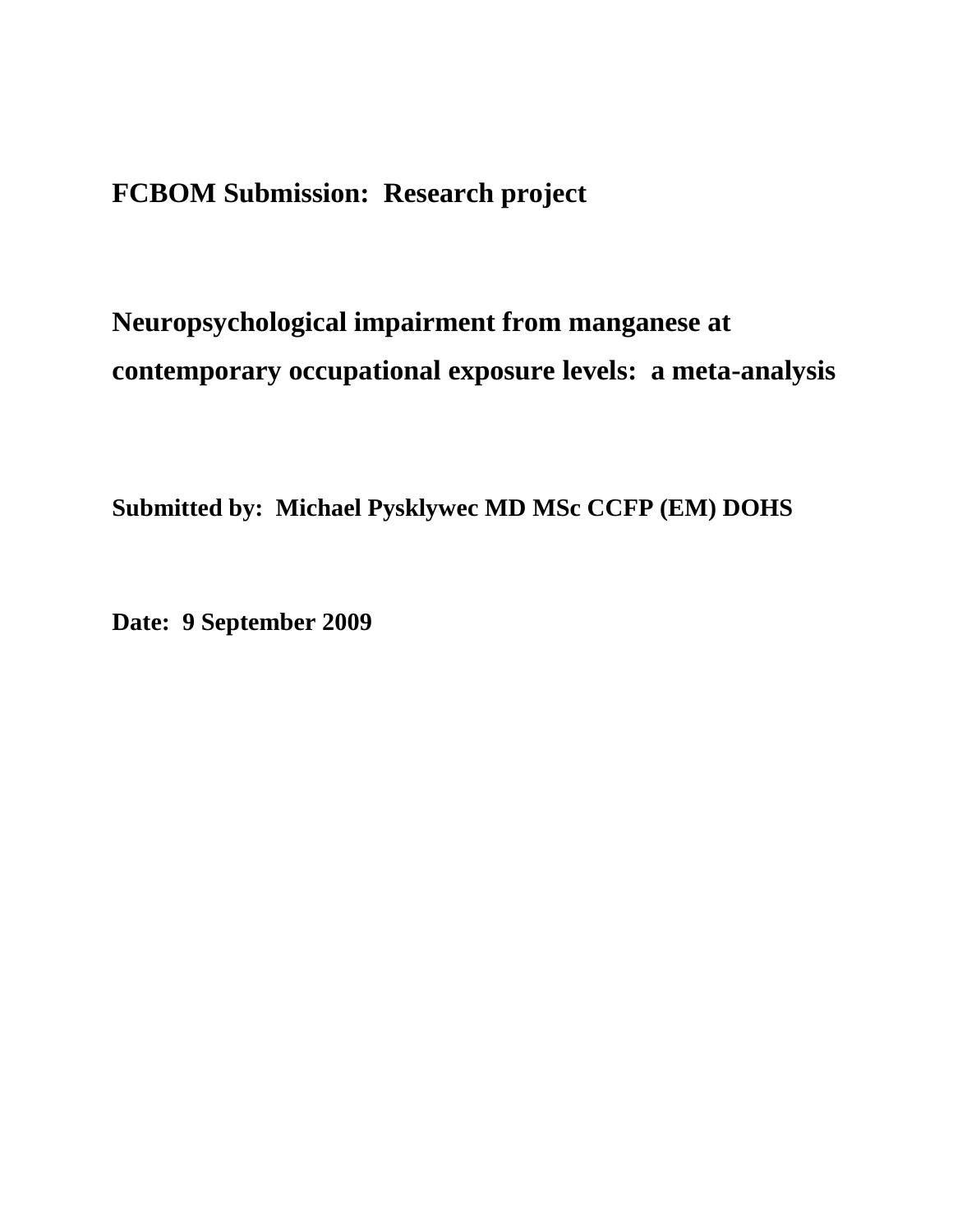## **FCBOM Submission: Research project**

# **Neuropsychological impairment from manganese at contemporary occupational exposure levels: a meta-analysis**

**Submitted by: Michael Pysklywec MD MSc CCFP (EM) DOHS**

**Date: 9 September 2009**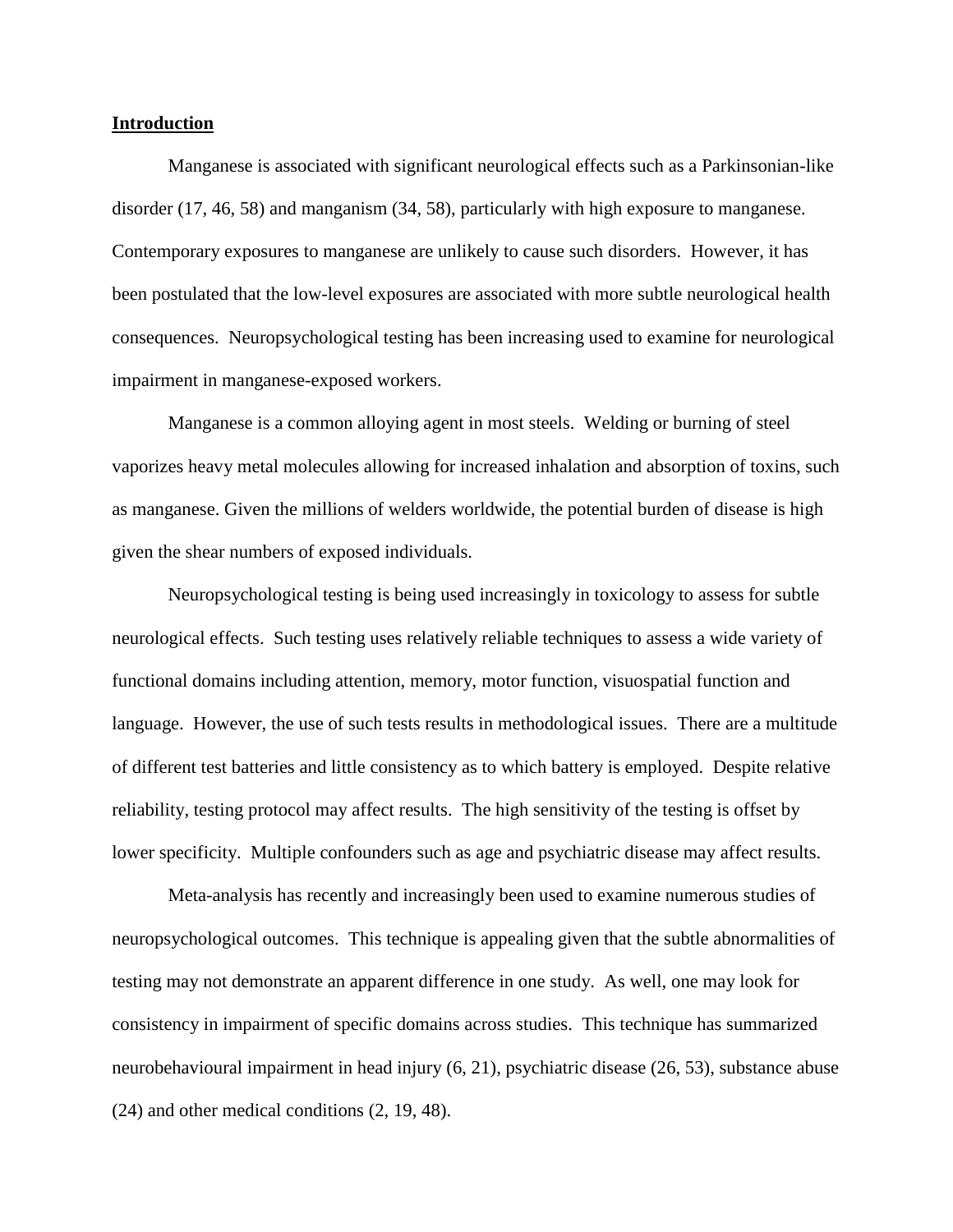#### **Introduction**

Manganese is associated with significant neurological effects such as a Parkinsonian-like disorder (17, 46, 58) and manganism (34, 58), particularly with high exposure to manganese. Contemporary exposures to manganese are unlikely to cause such disorders. However, it has been postulated that the low-level exposures are associated with more subtle neurological health consequences. Neuropsychological testing has been increasing used to examine for neurological impairment in manganese-exposed workers.

Manganese is a common alloying agent in most steels. Welding or burning of steel vaporizes heavy metal molecules allowing for increased inhalation and absorption of toxins, such as manganese. Given the millions of welders worldwide, the potential burden of disease is high given the shear numbers of exposed individuals.

Neuropsychological testing is being used increasingly in toxicology to assess for subtle neurological effects. Such testing uses relatively reliable techniques to assess a wide variety of functional domains including attention, memory, motor function, visuospatial function and language. However, the use of such tests results in methodological issues. There are a multitude of different test batteries and little consistency as to which battery is employed. Despite relative reliability, testing protocol may affect results. The high sensitivity of the testing is offset by lower specificity. Multiple confounders such as age and psychiatric disease may affect results.

Meta-analysis has recently and increasingly been used to examine numerous studies of neuropsychological outcomes. This technique is appealing given that the subtle abnormalities of testing may not demonstrate an apparent difference in one study. As well, one may look for consistency in impairment of specific domains across studies. This technique has summarized neurobehavioural impairment in head injury (6, 21), psychiatric disease (26, 53), substance abuse (24) and other medical conditions (2, 19, 48).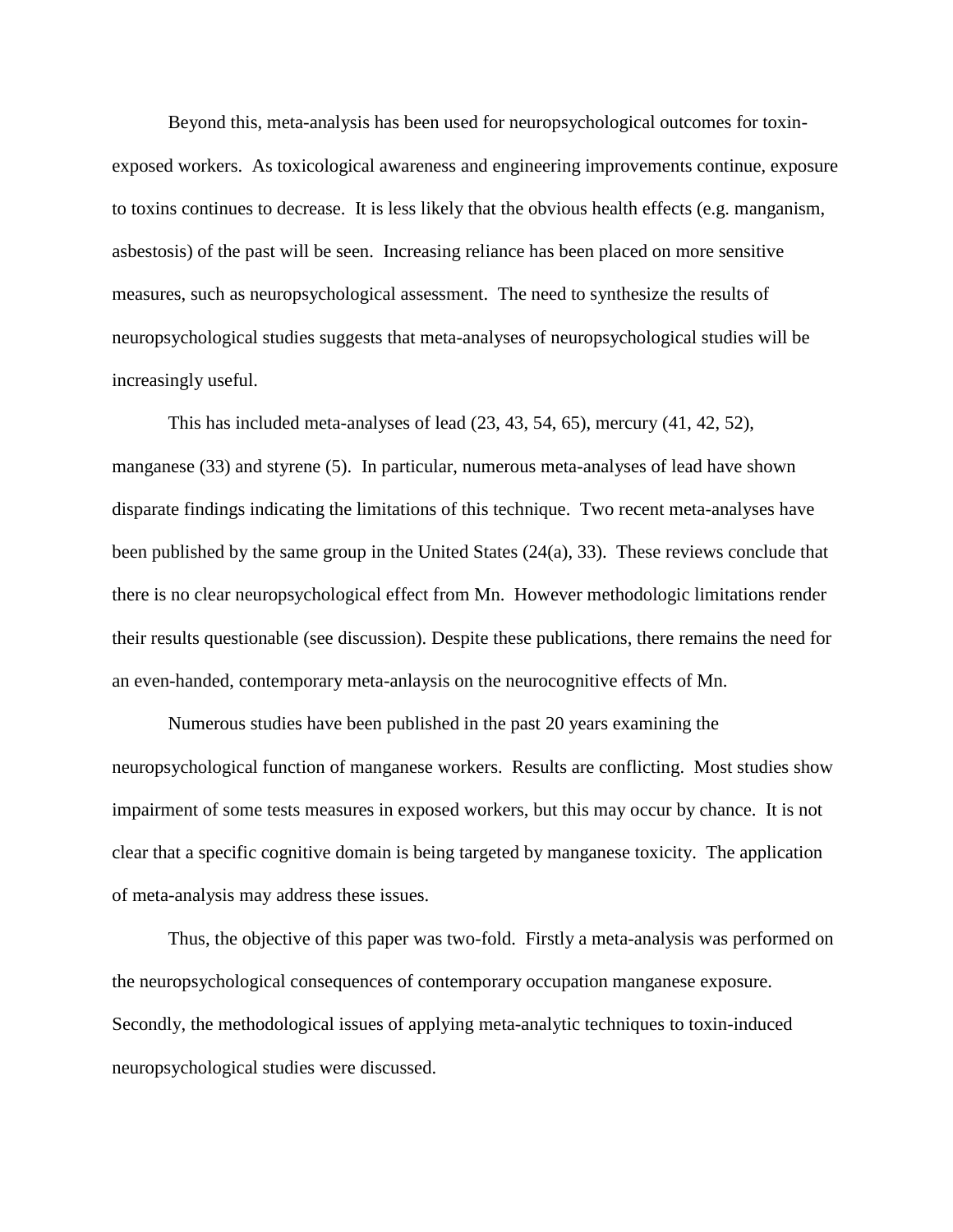Beyond this, meta-analysis has been used for neuropsychological outcomes for toxinexposed workers. As toxicological awareness and engineering improvements continue, exposure to toxins continues to decrease. It is less likely that the obvious health effects (e.g. manganism, asbestosis) of the past will be seen. Increasing reliance has been placed on more sensitive measures, such as neuropsychological assessment. The need to synthesize the results of neuropsychological studies suggests that meta-analyses of neuropsychological studies will be increasingly useful.

This has included meta-analyses of lead (23, 43, 54, 65), mercury (41, 42, 52), manganese (33) and styrene (5). In particular, numerous meta-analyses of lead have shown disparate findings indicating the limitations of this technique. Two recent meta-analyses have been published by the same group in the United States (24(a), 33). These reviews conclude that there is no clear neuropsychological effect from Mn. However methodologic limitations render their results questionable (see discussion). Despite these publications, there remains the need for an even-handed, contemporary meta-anlaysis on the neurocognitive effects of Mn.

Numerous studies have been published in the past 20 years examining the neuropsychological function of manganese workers. Results are conflicting. Most studies show impairment of some tests measures in exposed workers, but this may occur by chance. It is not clear that a specific cognitive domain is being targeted by manganese toxicity. The application of meta-analysis may address these issues.

Thus, the objective of this paper was two-fold. Firstly a meta-analysis was performed on the neuropsychological consequences of contemporary occupation manganese exposure. Secondly, the methodological issues of applying meta-analytic techniques to toxin-induced neuropsychological studies were discussed.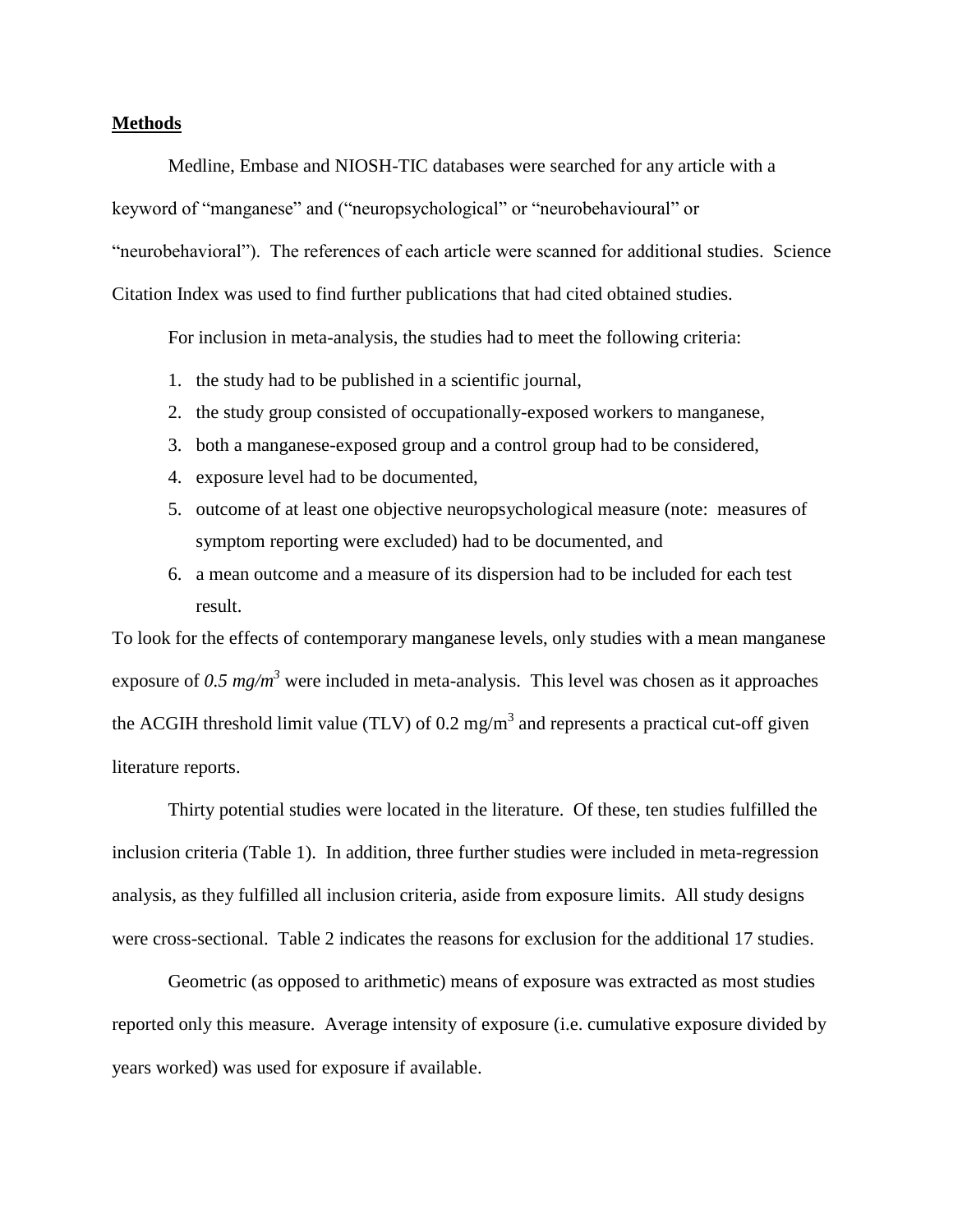#### **Methods**

Medline, Embase and NIOSH-TIC databases were searched for any article with a keyword of "manganese" and ("neuropsychological" or "neurobehavioural" or "neurobehavioral"). The references of each article were scanned for additional studies. Science Citation Index was used to find further publications that had cited obtained studies.

For inclusion in meta-analysis, the studies had to meet the following criteria:

- 1. the study had to be published in a scientific journal,
- 2. the study group consisted of occupationally-exposed workers to manganese,
- 3. both a manganese-exposed group and a control group had to be considered,
- 4. exposure level had to be documented,
- 5. outcome of at least one objective neuropsychological measure (note: measures of symptom reporting were excluded) had to be documented, and
- 6. a mean outcome and a measure of its dispersion had to be included for each test result.

To look for the effects of contemporary manganese levels, only studies with a mean manganese exposure of  $0.5 \text{ mg/m}^3$  were included in meta-analysis. This level was chosen as it approaches the ACGIH threshold limit value (TLV) of 0.2 mg/m<sup>3</sup> and represents a practical cut-off given literature reports.

Thirty potential studies were located in the literature. Of these, ten studies fulfilled the inclusion criteria (Table 1). In addition, three further studies were included in meta-regression analysis, as they fulfilled all inclusion criteria, aside from exposure limits. All study designs were cross-sectional. Table 2 indicates the reasons for exclusion for the additional 17 studies.

Geometric (as opposed to arithmetic) means of exposure was extracted as most studies reported only this measure. Average intensity of exposure (i.e. cumulative exposure divided by years worked) was used for exposure if available.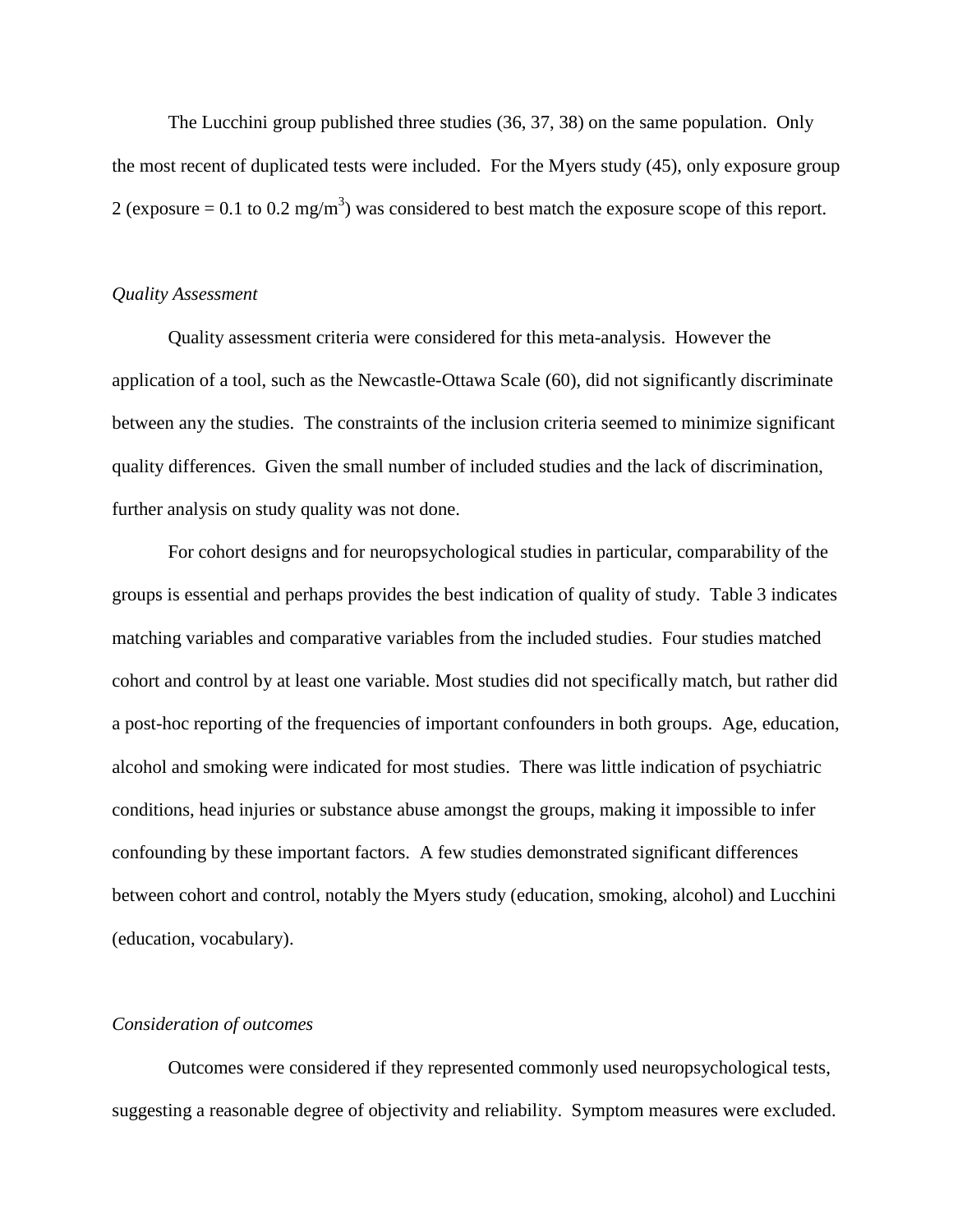The Lucchini group published three studies (36, 37, 38) on the same population. Only the most recent of duplicated tests were included. For the Myers study (45), only exposure group 2 (exposure = 0.1 to 0.2 mg/m<sup>3</sup>) was considered to best match the exposure scope of this report.

#### *Quality Assessment*

Quality assessment criteria were considered for this meta-analysis. However the application of a tool, such as the Newcastle-Ottawa Scale (60), did not significantly discriminate between any the studies. The constraints of the inclusion criteria seemed to minimize significant quality differences. Given the small number of included studies and the lack of discrimination, further analysis on study quality was not done.

For cohort designs and for neuropsychological studies in particular, comparability of the groups is essential and perhaps provides the best indication of quality of study. Table 3 indicates matching variables and comparative variables from the included studies. Four studies matched cohort and control by at least one variable. Most studies did not specifically match, but rather did a post-hoc reporting of the frequencies of important confounders in both groups. Age, education, alcohol and smoking were indicated for most studies. There was little indication of psychiatric conditions, head injuries or substance abuse amongst the groups, making it impossible to infer confounding by these important factors. A few studies demonstrated significant differences between cohort and control, notably the Myers study (education, smoking, alcohol) and Lucchini (education, vocabulary).

#### *Consideration of outcomes*

Outcomes were considered if they represented commonly used neuropsychological tests, suggesting a reasonable degree of objectivity and reliability. Symptom measures were excluded.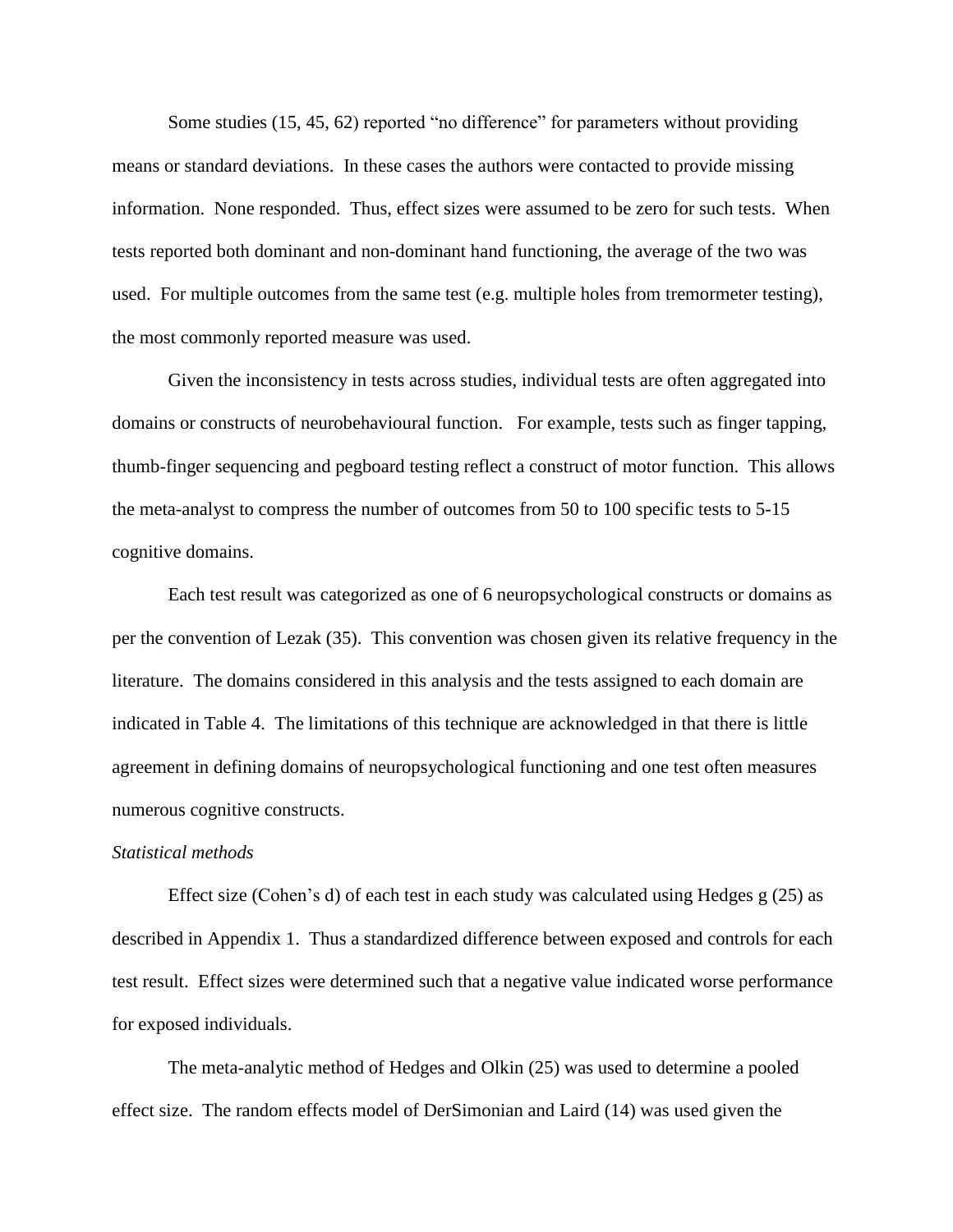Some studies (15, 45, 62) reported "no difference" for parameters without providing means or standard deviations. In these cases the authors were contacted to provide missing information. None responded. Thus, effect sizes were assumed to be zero for such tests. When tests reported both dominant and non-dominant hand functioning, the average of the two was used. For multiple outcomes from the same test (e.g. multiple holes from tremormeter testing), the most commonly reported measure was used.

Given the inconsistency in tests across studies, individual tests are often aggregated into domains or constructs of neurobehavioural function. For example, tests such as finger tapping, thumb-finger sequencing and pegboard testing reflect a construct of motor function. This allows the meta-analyst to compress the number of outcomes from 50 to 100 specific tests to 5-15 cognitive domains.

Each test result was categorized as one of 6 neuropsychological constructs or domains as per the convention of Lezak (35). This convention was chosen given its relative frequency in the literature. The domains considered in this analysis and the tests assigned to each domain are indicated in Table 4. The limitations of this technique are acknowledged in that there is little agreement in defining domains of neuropsychological functioning and one test often measures numerous cognitive constructs.

#### *Statistical methods*

Effect size (Cohen's d) of each test in each study was calculated using Hedges  $g(25)$  as described in Appendix 1. Thus a standardized difference between exposed and controls for each test result. Effect sizes were determined such that a negative value indicated worse performance for exposed individuals.

The meta-analytic method of Hedges and Olkin (25) was used to determine a pooled effect size. The random effects model of DerSimonian and Laird (14) was used given the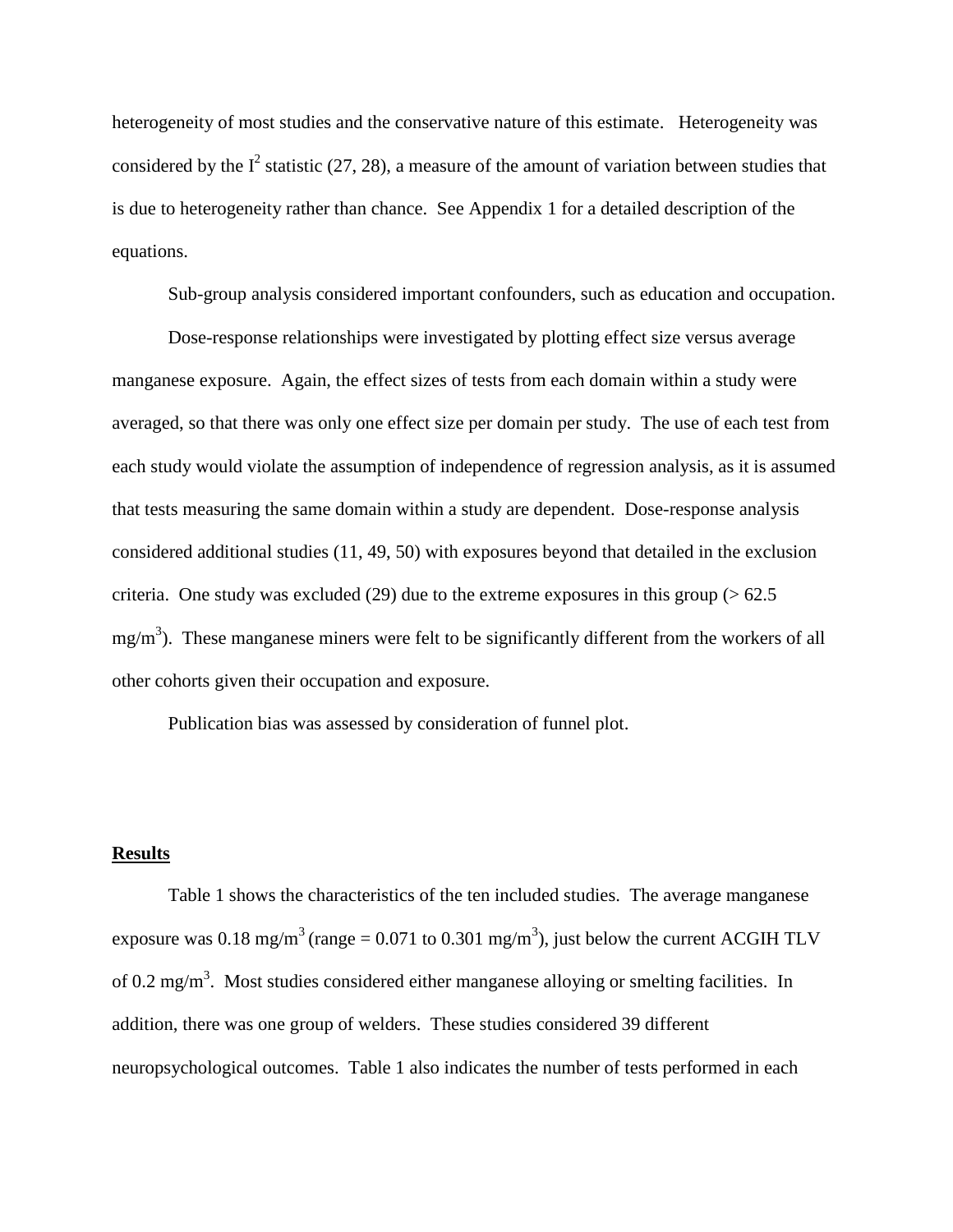heterogeneity of most studies and the conservative nature of this estimate. Heterogeneity was considered by the  $I^2$  statistic (27, 28), a measure of the amount of variation between studies that is due to heterogeneity rather than chance. See Appendix 1 for a detailed description of the equations.

Sub-group analysis considered important confounders, such as education and occupation.

Dose-response relationships were investigated by plotting effect size versus average manganese exposure. Again, the effect sizes of tests from each domain within a study were averaged, so that there was only one effect size per domain per study. The use of each test from each study would violate the assumption of independence of regression analysis, as it is assumed that tests measuring the same domain within a study are dependent. Dose-response analysis considered additional studies (11, 49, 50) with exposures beyond that detailed in the exclusion criteria. One study was excluded (29) due to the extreme exposures in this group ( $> 62.5$  $mg/m<sup>3</sup>$ ). These manganese miners were felt to be significantly different from the workers of all other cohorts given their occupation and exposure.

Publication bias was assessed by consideration of funnel plot.

#### **Results**

Table 1 shows the characteristics of the ten included studies. The average manganese exposure was 0.18 mg/m<sup>3</sup> (range = 0.071 to 0.301 mg/m<sup>3</sup>), just below the current ACGIH TLV of 0.2 mg/m<sup>3</sup>. Most studies considered either manganese alloying or smelting facilities. In addition, there was one group of welders. These studies considered 39 different neuropsychological outcomes. Table 1 also indicates the number of tests performed in each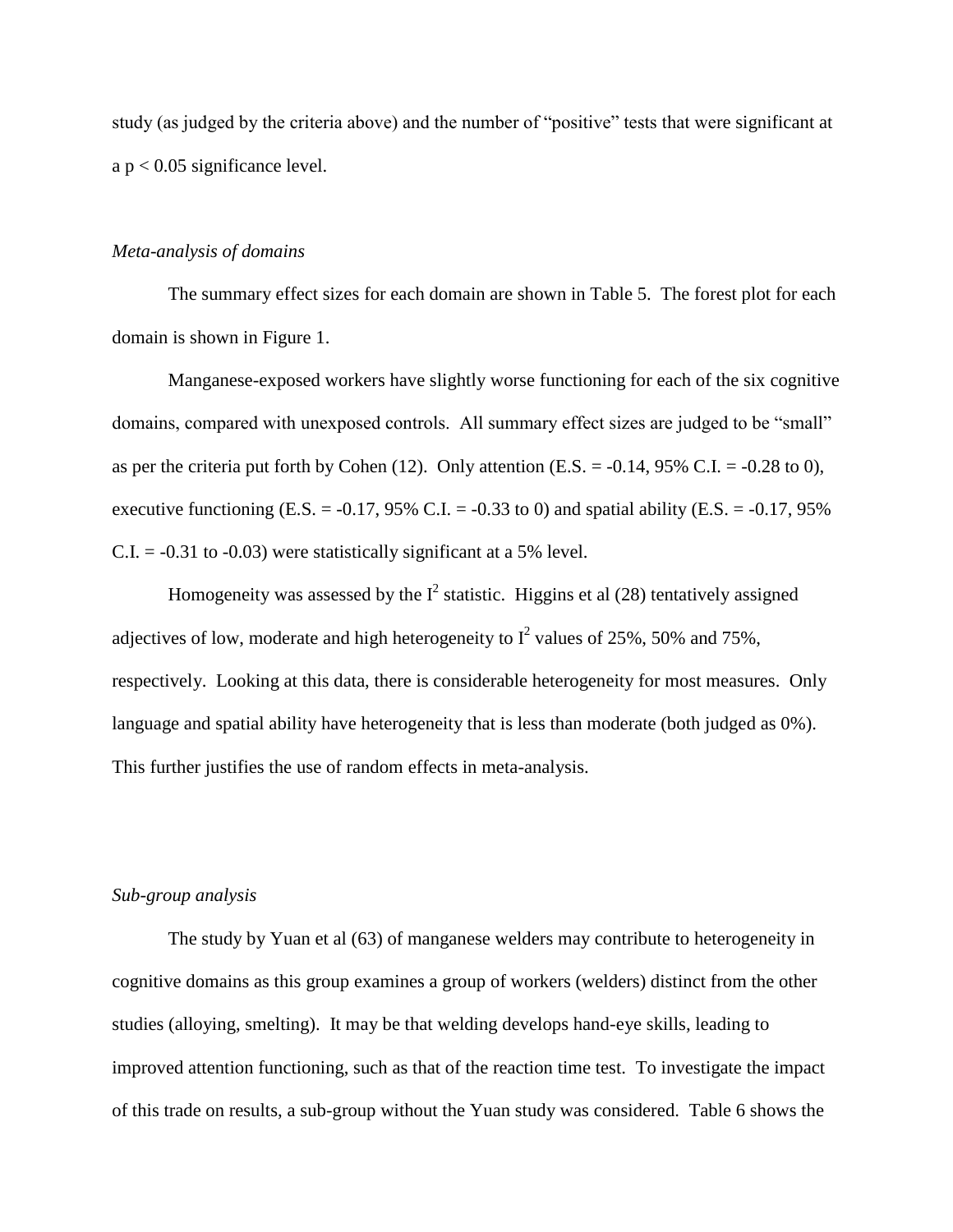study (as judged by the criteria above) and the number of "positive" tests that were significant at a p < 0.05 significance level.

#### *Meta-analysis of domains*

The summary effect sizes for each domain are shown in Table 5. The forest plot for each domain is shown in Figure 1.

Manganese-exposed workers have slightly worse functioning for each of the six cognitive domains, compared with unexposed controls. All summary effect sizes are judged to be "small" as per the criteria put forth by Cohen (12). Only attention (E.S. =  $-0.14$ , 95% C.I. =  $-0.28$  to 0), executive functioning (E.S. =  $-0.17$ , 95% C.I. =  $-0.33$  to 0) and spatial ability (E.S. =  $-0.17$ , 95%  $C.I. = -0.31$  to  $-0.03$ ) were statistically significant at a 5% level.

Homogeneity was assessed by the  $I^2$  statistic. Higgins et al (28) tentatively assigned adjectives of low, moderate and high heterogeneity to  $I^2$  values of 25%, 50% and 75%, respectively. Looking at this data, there is considerable heterogeneity for most measures. Only language and spatial ability have heterogeneity that is less than moderate (both judged as 0%). This further justifies the use of random effects in meta-analysis.

#### *Sub-group analysis*

The study by Yuan et al (63) of manganese welders may contribute to heterogeneity in cognitive domains as this group examines a group of workers (welders) distinct from the other studies (alloying, smelting). It may be that welding develops hand-eye skills, leading to improved attention functioning, such as that of the reaction time test. To investigate the impact of this trade on results, a sub-group without the Yuan study was considered. Table 6 shows the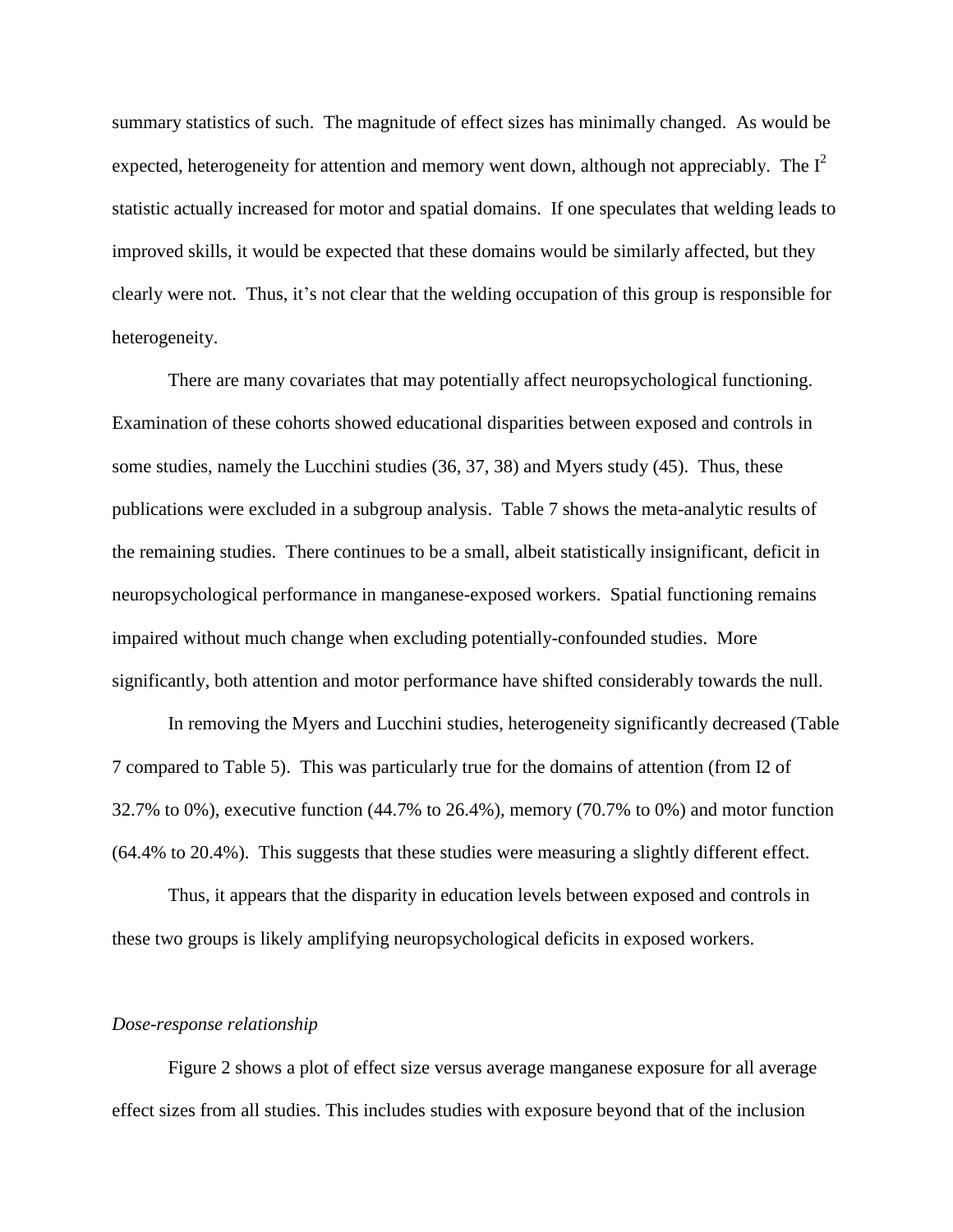summary statistics of such. The magnitude of effect sizes has minimally changed. As would be expected, heterogeneity for attention and memory went down, although not appreciably. The  $I^2$ statistic actually increased for motor and spatial domains. If one speculates that welding leads to improved skills, it would be expected that these domains would be similarly affected, but they clearly were not. Thus, it's not clear that the welding occupation of this group is responsible for heterogeneity.

There are many covariates that may potentially affect neuropsychological functioning. Examination of these cohorts showed educational disparities between exposed and controls in some studies, namely the Lucchini studies (36, 37, 38) and Myers study (45). Thus, these publications were excluded in a subgroup analysis. Table 7 shows the meta-analytic results of the remaining studies. There continues to be a small, albeit statistically insignificant, deficit in neuropsychological performance in manganese-exposed workers. Spatial functioning remains impaired without much change when excluding potentially-confounded studies. More significantly, both attention and motor performance have shifted considerably towards the null.

In removing the Myers and Lucchini studies, heterogeneity significantly decreased (Table 7 compared to Table 5). This was particularly true for the domains of attention (from I2 of 32.7% to 0%), executive function (44.7% to 26.4%), memory (70.7% to 0%) and motor function (64.4% to 20.4%). This suggests that these studies were measuring a slightly different effect.

Thus, it appears that the disparity in education levels between exposed and controls in these two groups is likely amplifying neuropsychological deficits in exposed workers.

#### *Dose-response relationship*

Figure 2 shows a plot of effect size versus average manganese exposure for all average effect sizes from all studies. This includes studies with exposure beyond that of the inclusion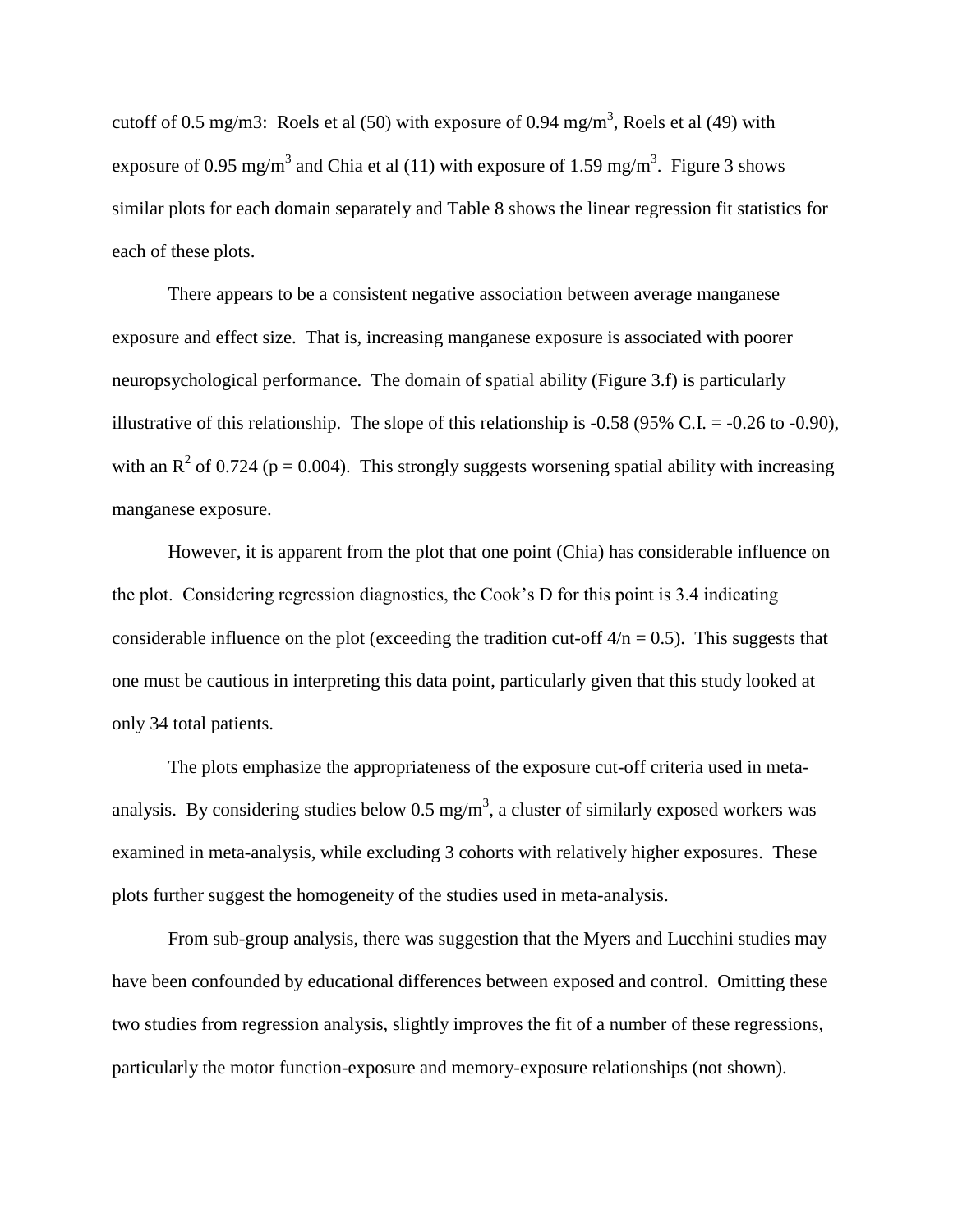cutoff of 0.5 mg/m3: Roels et al (50) with exposure of 0.94 mg/m<sup>3</sup>, Roels et al (49) with exposure of 0.95 mg/m<sup>3</sup> and Chia et al (11) with exposure of 1.59 mg/m<sup>3</sup>. Figure 3 shows similar plots for each domain separately and Table 8 shows the linear regression fit statistics for each of these plots.

There appears to be a consistent negative association between average manganese exposure and effect size. That is, increasing manganese exposure is associated with poorer neuropsychological performance. The domain of spatial ability (Figure 3.f) is particularly illustrative of this relationship. The slope of this relationship is  $-0.58$  (95% C.I. =  $-0.26$  to  $-0.90$ ), with an  $R^2$  of 0.724 (p = 0.004). This strongly suggests worsening spatial ability with increasing manganese exposure.

However, it is apparent from the plot that one point (Chia) has considerable influence on the plot. Considering regression diagnostics, the Cook's D for this point is 3.4 indicating considerable influence on the plot (exceeding the tradition cut-off  $4/n = 0.5$ ). This suggests that one must be cautious in interpreting this data point, particularly given that this study looked at only 34 total patients.

The plots emphasize the appropriateness of the exposure cut-off criteria used in metaanalysis. By considering studies below 0.5 mg/m<sup>3</sup>, a cluster of similarly exposed workers was examined in meta-analysis, while excluding 3 cohorts with relatively higher exposures. These plots further suggest the homogeneity of the studies used in meta-analysis.

From sub-group analysis, there was suggestion that the Myers and Lucchini studies may have been confounded by educational differences between exposed and control. Omitting these two studies from regression analysis, slightly improves the fit of a number of these regressions, particularly the motor function-exposure and memory-exposure relationships (not shown).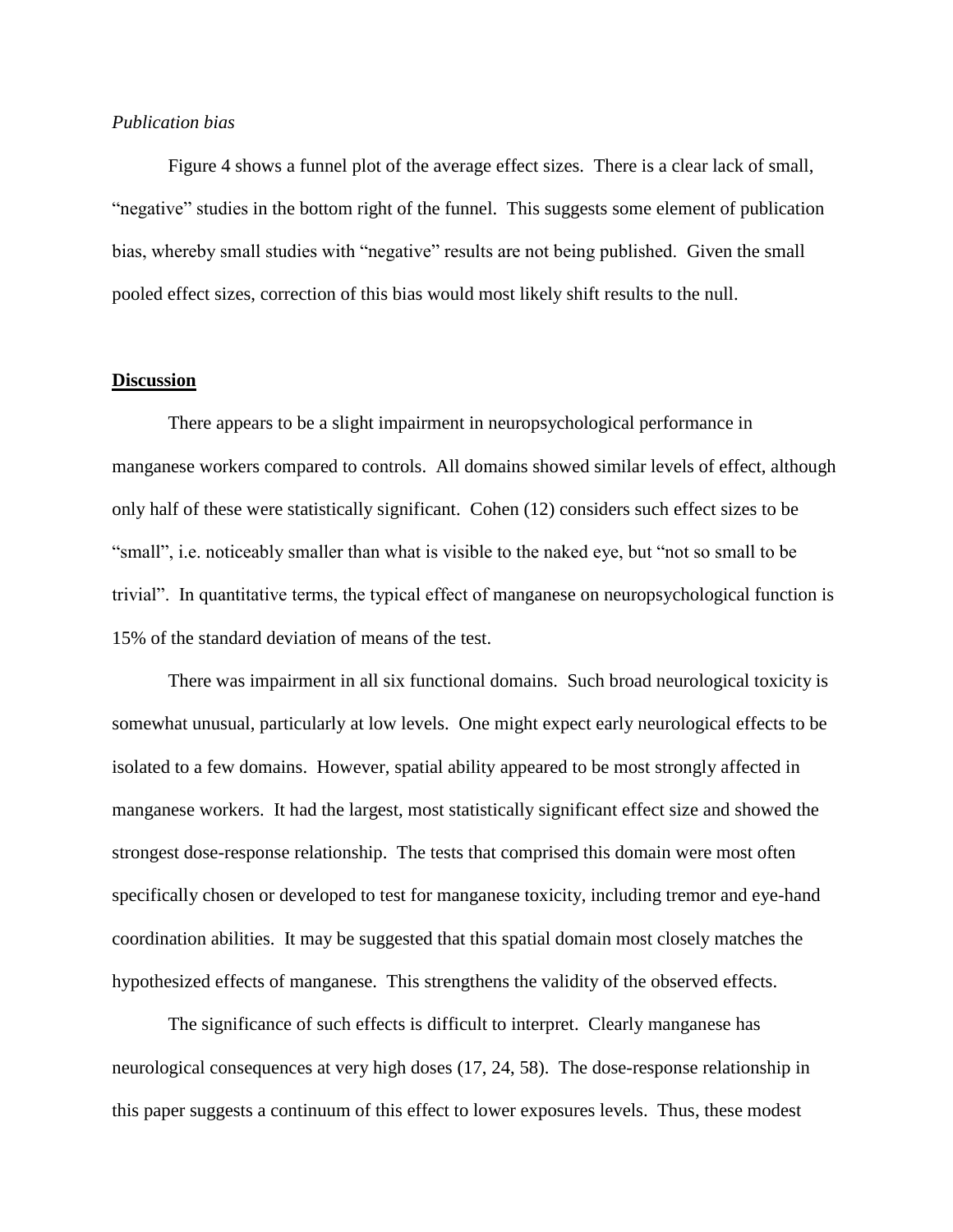#### *Publication bias*

Figure 4 shows a funnel plot of the average effect sizes. There is a clear lack of small, "negative" studies in the bottom right of the funnel. This suggests some element of publication bias, whereby small studies with "negative" results are not being published. Given the small pooled effect sizes, correction of this bias would most likely shift results to the null.

#### **Discussion**

There appears to be a slight impairment in neuropsychological performance in manganese workers compared to controls. All domains showed similar levels of effect, although only half of these were statistically significant. Cohen (12) considers such effect sizes to be "small", i.e. noticeably smaller than what is visible to the naked eye, but "not so small to be trivial". In quantitative terms, the typical effect of manganese on neuropsychological function is 15% of the standard deviation of means of the test.

There was impairment in all six functional domains. Such broad neurological toxicity is somewhat unusual, particularly at low levels. One might expect early neurological effects to be isolated to a few domains. However, spatial ability appeared to be most strongly affected in manganese workers. It had the largest, most statistically significant effect size and showed the strongest dose-response relationship. The tests that comprised this domain were most often specifically chosen or developed to test for manganese toxicity, including tremor and eye-hand coordination abilities. It may be suggested that this spatial domain most closely matches the hypothesized effects of manganese. This strengthens the validity of the observed effects.

The significance of such effects is difficult to interpret. Clearly manganese has neurological consequences at very high doses (17, 24, 58). The dose-response relationship in this paper suggests a continuum of this effect to lower exposures levels. Thus, these modest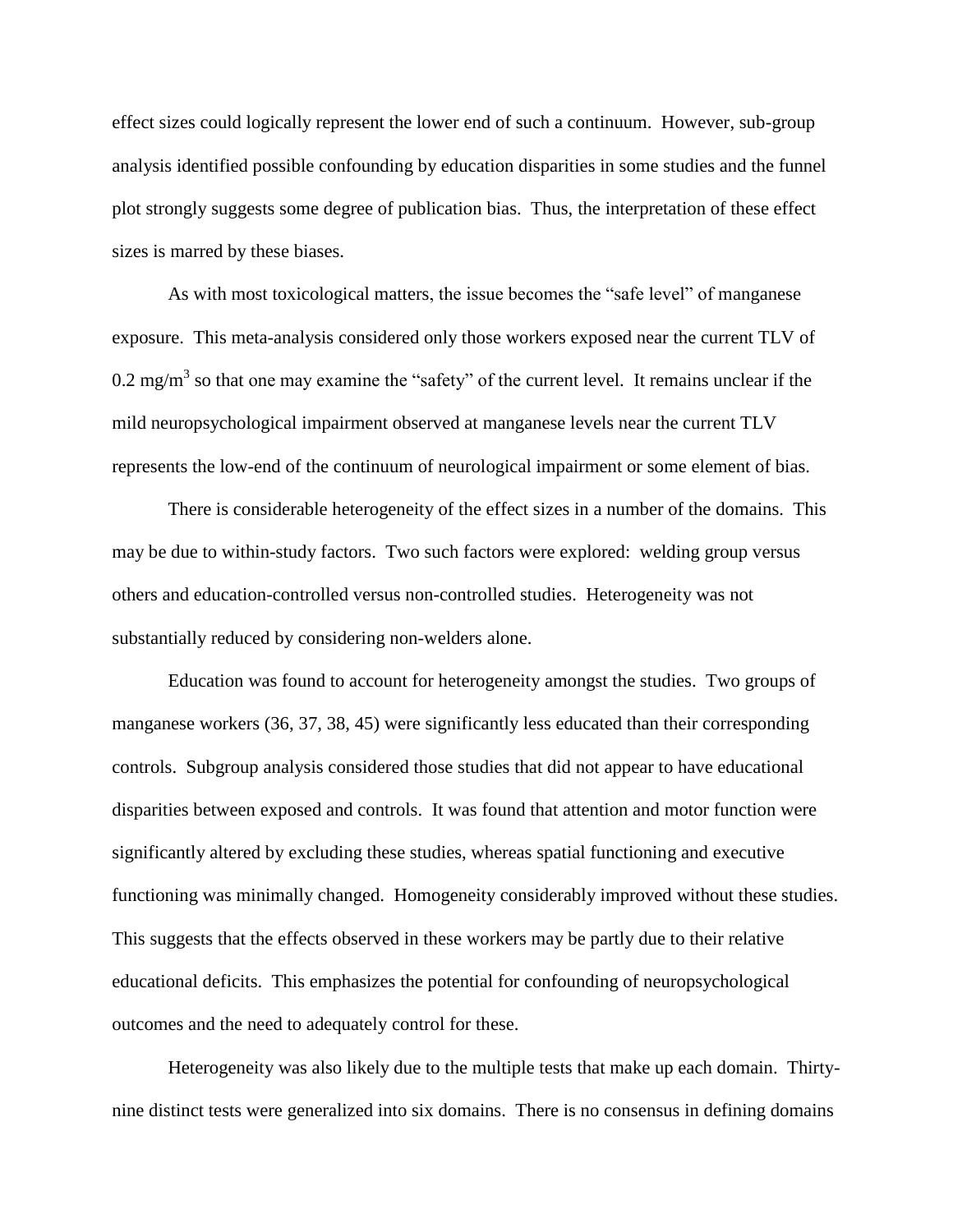effect sizes could logically represent the lower end of such a continuum. However, sub-group analysis identified possible confounding by education disparities in some studies and the funnel plot strongly suggests some degree of publication bias. Thus, the interpretation of these effect sizes is marred by these biases.

As with most toxicological matters, the issue becomes the "safe level" of manganese exposure. This meta-analysis considered only those workers exposed near the current TLV of 0.2 mg/m<sup>3</sup> so that one may examine the "safety" of the current level. It remains unclear if the mild neuropsychological impairment observed at manganese levels near the current TLV represents the low-end of the continuum of neurological impairment or some element of bias.

There is considerable heterogeneity of the effect sizes in a number of the domains. This may be due to within-study factors. Two such factors were explored: welding group versus others and education-controlled versus non-controlled studies. Heterogeneity was not substantially reduced by considering non-welders alone.

Education was found to account for heterogeneity amongst the studies. Two groups of manganese workers (36, 37, 38, 45) were significantly less educated than their corresponding controls. Subgroup analysis considered those studies that did not appear to have educational disparities between exposed and controls. It was found that attention and motor function were significantly altered by excluding these studies, whereas spatial functioning and executive functioning was minimally changed. Homogeneity considerably improved without these studies. This suggests that the effects observed in these workers may be partly due to their relative educational deficits. This emphasizes the potential for confounding of neuropsychological outcomes and the need to adequately control for these.

Heterogeneity was also likely due to the multiple tests that make up each domain. Thirtynine distinct tests were generalized into six domains. There is no consensus in defining domains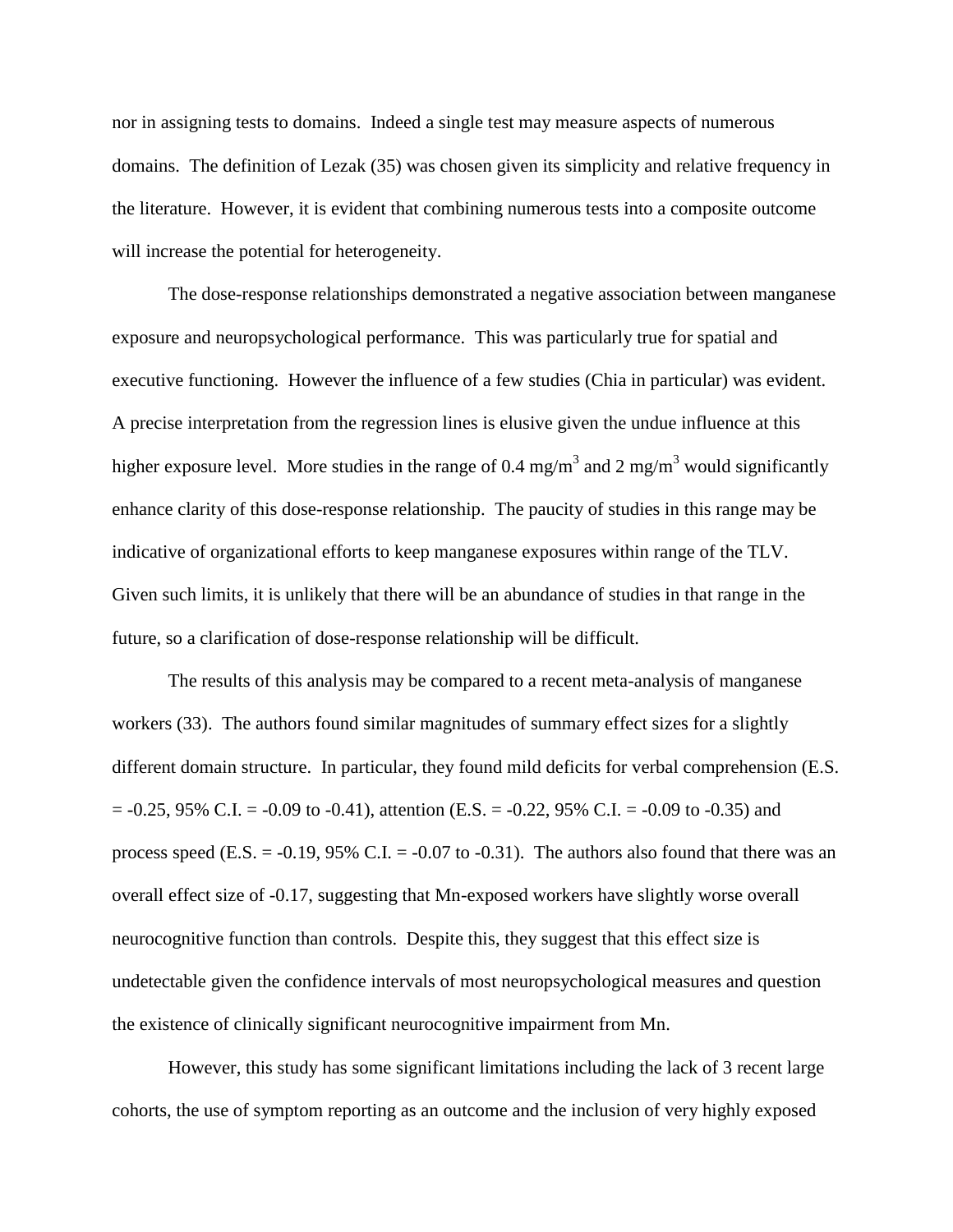nor in assigning tests to domains. Indeed a single test may measure aspects of numerous domains. The definition of Lezak (35) was chosen given its simplicity and relative frequency in the literature. However, it is evident that combining numerous tests into a composite outcome will increase the potential for heterogeneity.

The dose-response relationships demonstrated a negative association between manganese exposure and neuropsychological performance. This was particularly true for spatial and executive functioning. However the influence of a few studies (Chia in particular) was evident. A precise interpretation from the regression lines is elusive given the undue influence at this higher exposure level. More studies in the range of 0.4 mg/m<sup>3</sup> and 2 mg/m<sup>3</sup> would significantly enhance clarity of this dose-response relationship. The paucity of studies in this range may be indicative of organizational efforts to keep manganese exposures within range of the TLV. Given such limits, it is unlikely that there will be an abundance of studies in that range in the future, so a clarification of dose-response relationship will be difficult.

The results of this analysis may be compared to a recent meta-analysis of manganese workers (33). The authors found similar magnitudes of summary effect sizes for a slightly different domain structure. In particular, they found mild deficits for verbal comprehension (E.S.  $= -0.25, 95\% \text{ C.L.} = -0.09 \text{ to } -0.41$ , attention (E.S. =  $-0.22, 95\% \text{ C.L.} = -0.09 \text{ to } -0.35$ ) and process speed (E.S.  $= -0.19$ , 95% C.I.  $= -0.07$  to  $-0.31$ ). The authors also found that there was an overall effect size of -0.17, suggesting that Mn-exposed workers have slightly worse overall neurocognitive function than controls. Despite this, they suggest that this effect size is undetectable given the confidence intervals of most neuropsychological measures and question the existence of clinically significant neurocognitive impairment from Mn.

However, this study has some significant limitations including the lack of 3 recent large cohorts, the use of symptom reporting as an outcome and the inclusion of very highly exposed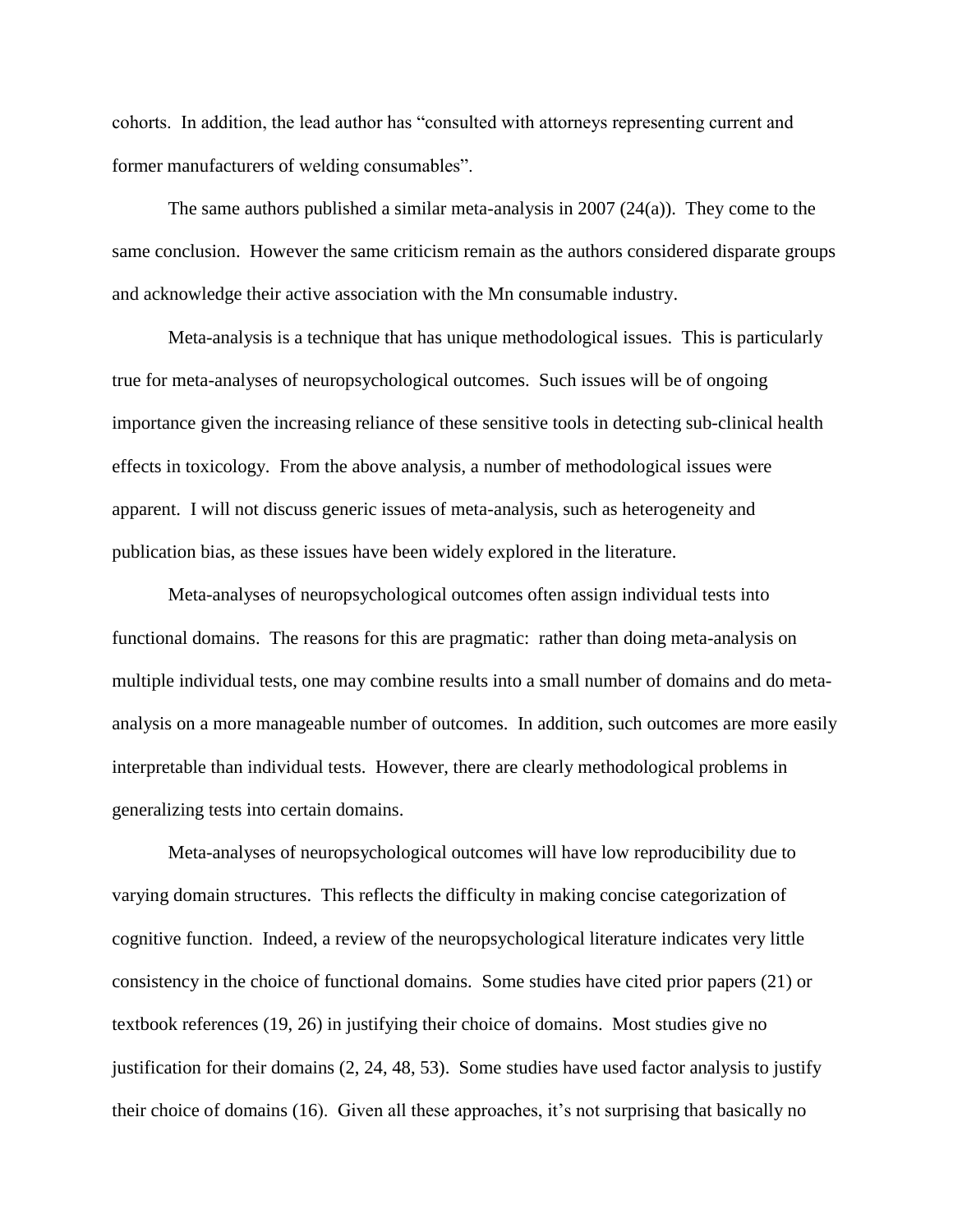cohorts. In addition, the lead author has "consulted with attorneys representing current and former manufacturers of welding consumables".

The same authors published a similar meta-analysis in 2007  $(24(a))$ . They come to the same conclusion. However the same criticism remain as the authors considered disparate groups and acknowledge their active association with the Mn consumable industry.

Meta-analysis is a technique that has unique methodological issues. This is particularly true for meta-analyses of neuropsychological outcomes. Such issues will be of ongoing importance given the increasing reliance of these sensitive tools in detecting sub-clinical health effects in toxicology. From the above analysis, a number of methodological issues were apparent. I will not discuss generic issues of meta-analysis, such as heterogeneity and publication bias, as these issues have been widely explored in the literature.

Meta-analyses of neuropsychological outcomes often assign individual tests into functional domains. The reasons for this are pragmatic: rather than doing meta-analysis on multiple individual tests, one may combine results into a small number of domains and do metaanalysis on a more manageable number of outcomes. In addition, such outcomes are more easily interpretable than individual tests. However, there are clearly methodological problems in generalizing tests into certain domains.

Meta-analyses of neuropsychological outcomes will have low reproducibility due to varying domain structures. This reflects the difficulty in making concise categorization of cognitive function. Indeed, a review of the neuropsychological literature indicates very little consistency in the choice of functional domains. Some studies have cited prior papers (21) or textbook references (19, 26) in justifying their choice of domains. Most studies give no justification for their domains (2, 24, 48, 53). Some studies have used factor analysis to justify their choice of domains (16). Given all these approaches, it's not surprising that basically no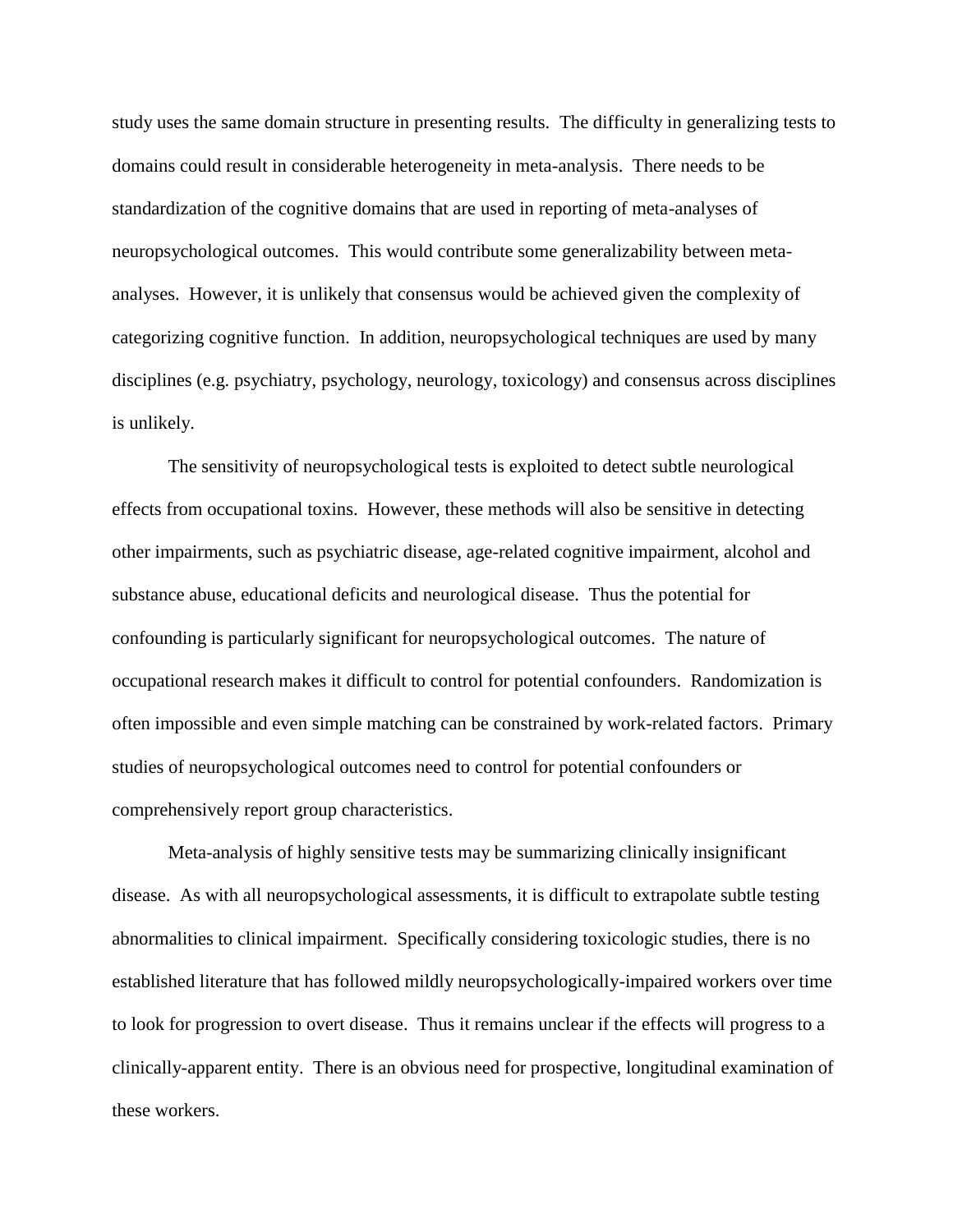study uses the same domain structure in presenting results. The difficulty in generalizing tests to domains could result in considerable heterogeneity in meta-analysis. There needs to be standardization of the cognitive domains that are used in reporting of meta-analyses of neuropsychological outcomes. This would contribute some generalizability between metaanalyses. However, it is unlikely that consensus would be achieved given the complexity of categorizing cognitive function. In addition, neuropsychological techniques are used by many disciplines (e.g. psychiatry, psychology, neurology, toxicology) and consensus across disciplines is unlikely.

The sensitivity of neuropsychological tests is exploited to detect subtle neurological effects from occupational toxins. However, these methods will also be sensitive in detecting other impairments, such as psychiatric disease, age-related cognitive impairment, alcohol and substance abuse, educational deficits and neurological disease. Thus the potential for confounding is particularly significant for neuropsychological outcomes. The nature of occupational research makes it difficult to control for potential confounders. Randomization is often impossible and even simple matching can be constrained by work-related factors. Primary studies of neuropsychological outcomes need to control for potential confounders or comprehensively report group characteristics.

Meta-analysis of highly sensitive tests may be summarizing clinically insignificant disease. As with all neuropsychological assessments, it is difficult to extrapolate subtle testing abnormalities to clinical impairment. Specifically considering toxicologic studies, there is no established literature that has followed mildly neuropsychologically-impaired workers over time to look for progression to overt disease. Thus it remains unclear if the effects will progress to a clinically-apparent entity. There is an obvious need for prospective, longitudinal examination of these workers.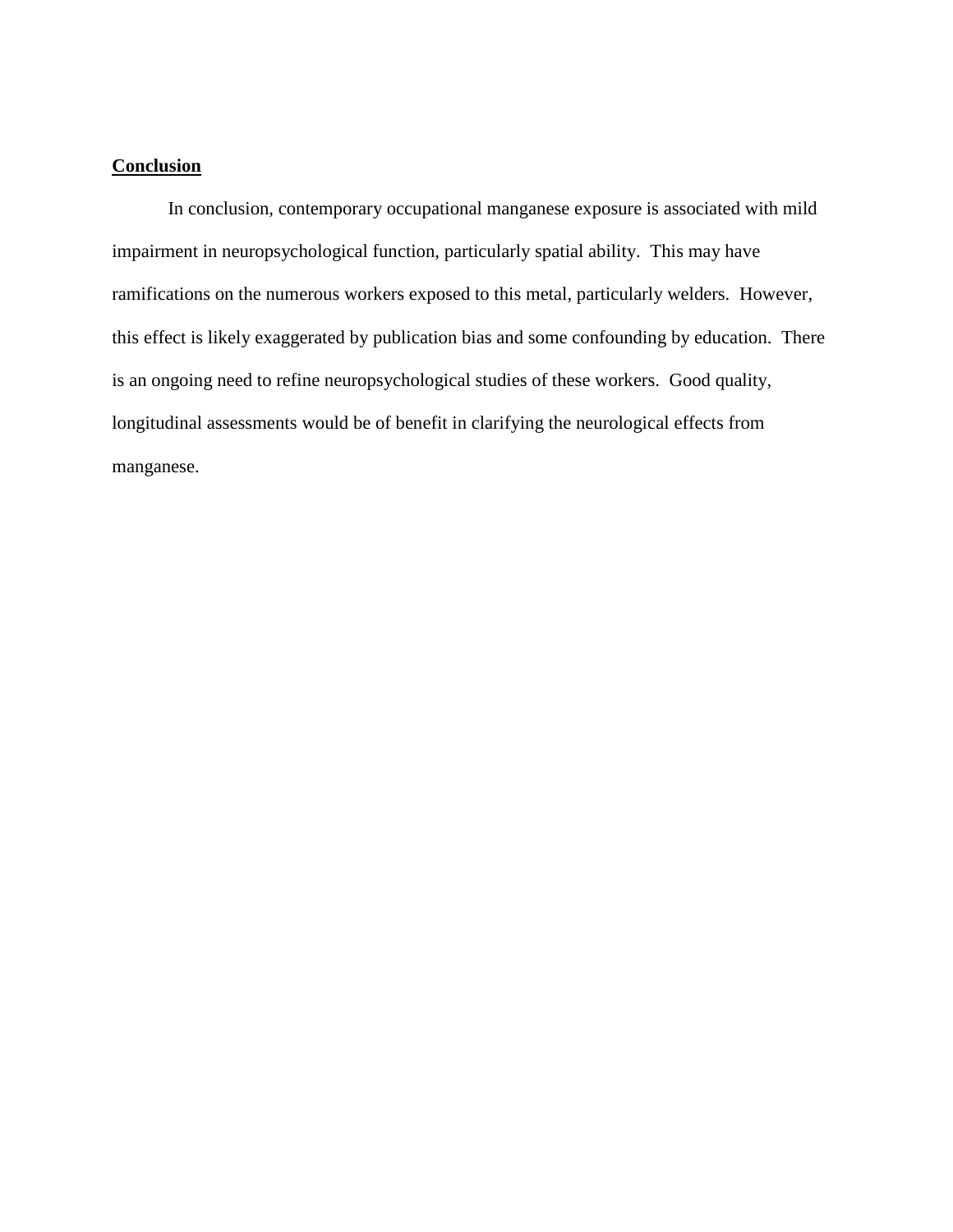#### **Conclusion**

In conclusion, contemporary occupational manganese exposure is associated with mild impairment in neuropsychological function, particularly spatial ability. This may have ramifications on the numerous workers exposed to this metal, particularly welders. However, this effect is likely exaggerated by publication bias and some confounding by education. There is an ongoing need to refine neuropsychological studies of these workers. Good quality, longitudinal assessments would be of benefit in clarifying the neurological effects from manganese.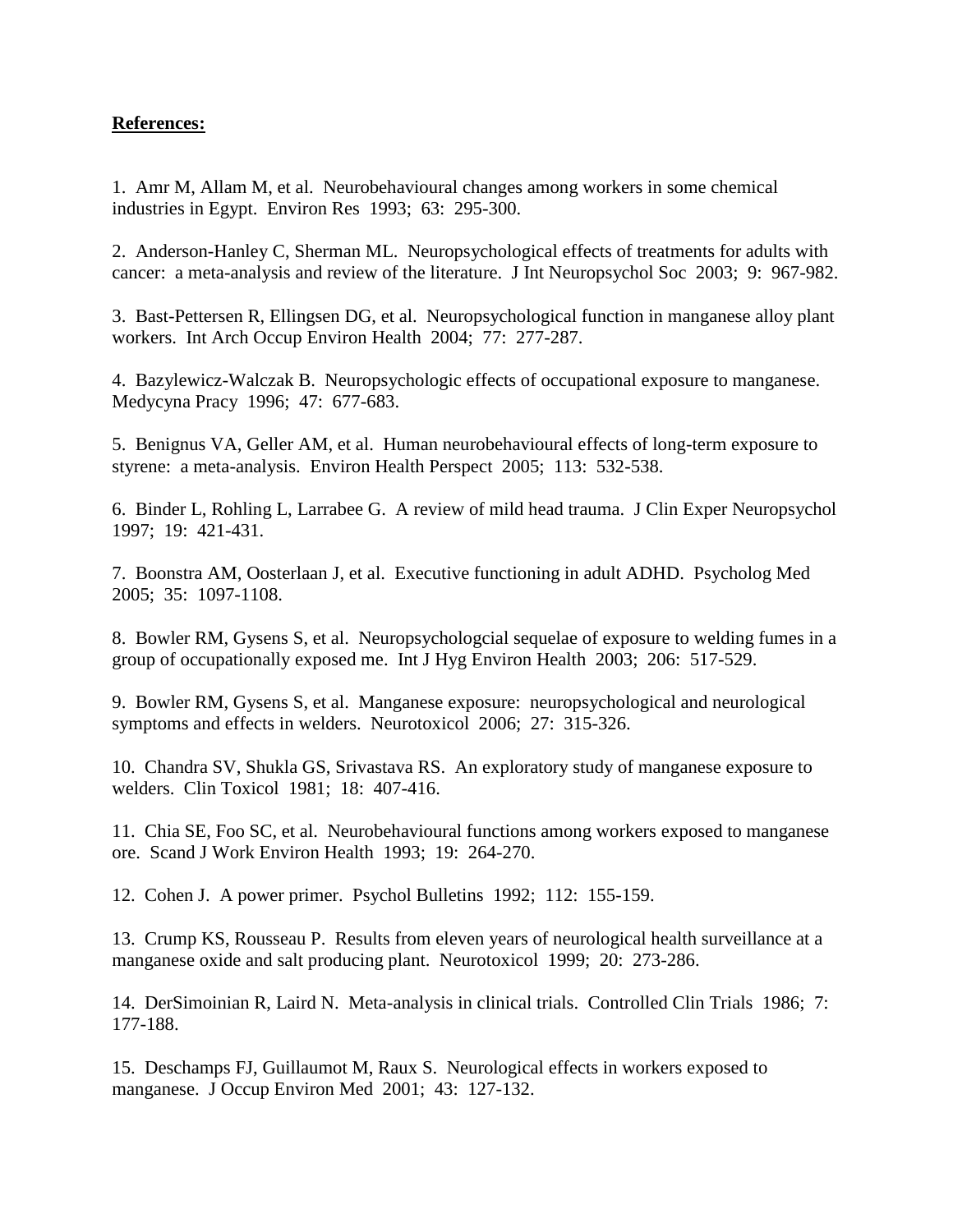#### **References:**

1. Amr M, Allam M, et al. Neurobehavioural changes among workers in some chemical industries in Egypt. Environ Res 1993; 63: 295-300.

2. Anderson-Hanley C, Sherman ML. Neuropsychological effects of treatments for adults with cancer: a meta-analysis and review of the literature. J Int Neuropsychol Soc 2003; 9: 967-982.

3. Bast-Pettersen R, Ellingsen DG, et al. Neuropsychological function in manganese alloy plant workers. Int Arch Occup Environ Health 2004; 77: 277-287.

4. Bazylewicz-Walczak B. Neuropsychologic effects of occupational exposure to manganese. Medycyna Pracy 1996; 47: 677-683.

5. Benignus VA, Geller AM, et al. Human neurobehavioural effects of long-term exposure to styrene: a meta-analysis. Environ Health Perspect 2005; 113: 532-538.

6. Binder L, Rohling L, Larrabee G. A review of mild head trauma. J Clin Exper Neuropsychol 1997; 19: 421-431.

7. Boonstra AM, Oosterlaan J, et al. Executive functioning in adult ADHD. Psycholog Med 2005; 35: 1097-1108.

8. Bowler RM, Gysens S, et al. Neuropsychologcial sequelae of exposure to welding fumes in a group of occupationally exposed me. Int J Hyg Environ Health 2003; 206: 517-529.

9. Bowler RM, Gysens S, et al. Manganese exposure: neuropsychological and neurological symptoms and effects in welders. Neurotoxicol 2006; 27: 315-326.

10. Chandra SV, Shukla GS, Srivastava RS. An exploratory study of manganese exposure to welders. Clin Toxicol 1981; 18: 407-416.

11. Chia SE, Foo SC, et al. Neurobehavioural functions among workers exposed to manganese ore. Scand J Work Environ Health 1993; 19: 264-270.

12. Cohen J. A power primer. Psychol Bulletins 1992; 112: 155-159.

13. Crump KS, Rousseau P. Results from eleven years of neurological health surveillance at a manganese oxide and salt producing plant. Neurotoxicol 1999; 20: 273-286.

14. DerSimoinian R, Laird N. Meta-analysis in clinical trials. Controlled Clin Trials 1986; 7: 177-188.

15. Deschamps FJ, Guillaumot M, Raux S. Neurological effects in workers exposed to manganese. J Occup Environ Med 2001; 43: 127-132.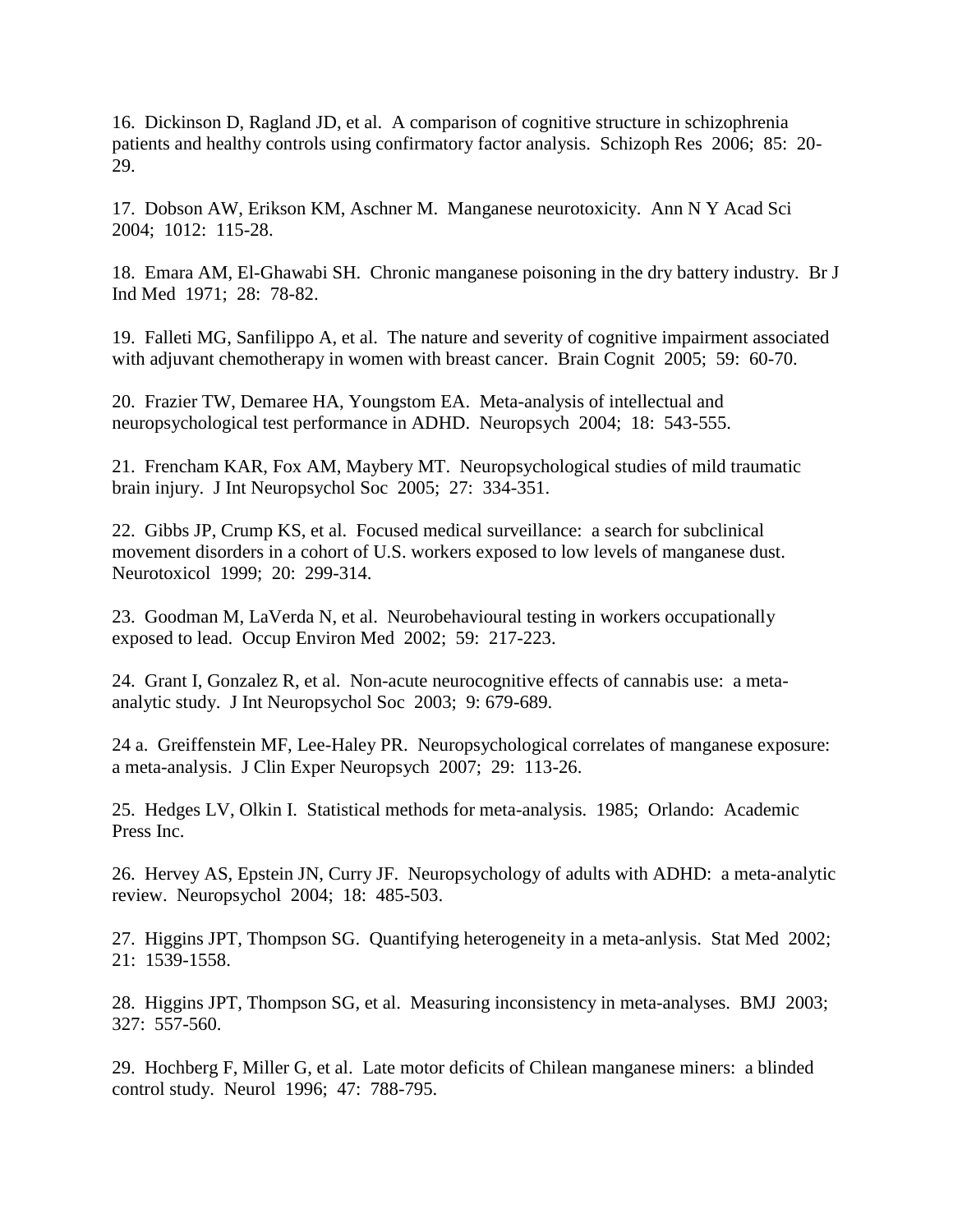16. Dickinson D, Ragland JD, et al. A comparison of cognitive structure in schizophrenia patients and healthy controls using confirmatory factor analysis. Schizoph Res 2006; 85: 20- 29.

17. Dobson AW, Erikson KM, Aschner M. Manganese neurotoxicity. Ann N Y Acad Sci 2004; 1012: 115-28.

18. Emara AM, El-Ghawabi SH. Chronic manganese poisoning in the dry battery industry. Br J Ind Med 1971; 28: 78-82.

19. Falleti MG, Sanfilippo A, et al. The nature and severity of cognitive impairment associated with adjuvant chemotherapy in women with breast cancer. Brain Cognit 2005; 59: 60-70.

20. Frazier TW, Demaree HA, Youngstom EA. Meta-analysis of intellectual and neuropsychological test performance in ADHD. Neuropsych 2004; 18: 543-555.

21. Frencham KAR, Fox AM, Maybery MT. Neuropsychological studies of mild traumatic brain injury. J Int Neuropsychol Soc 2005; 27: 334-351.

22. Gibbs JP, Crump KS, et al. Focused medical surveillance: a search for subclinical movement disorders in a cohort of U.S. workers exposed to low levels of manganese dust. Neurotoxicol 1999; 20: 299-314.

23. Goodman M, LaVerda N, et al. Neurobehavioural testing in workers occupationally exposed to lead. Occup Environ Med 2002; 59: 217-223.

24. Grant I, Gonzalez R, et al. Non-acute neurocognitive effects of cannabis use: a metaanalytic study. J Int Neuropsychol Soc 2003; 9: 679-689.

24 a. Greiffenstein MF, Lee-Haley PR. Neuropsychological correlates of manganese exposure: a meta-analysis. J Clin Exper Neuropsych 2007; 29: 113-26.

25. Hedges LV, Olkin I. Statistical methods for meta-analysis. 1985; Orlando: Academic Press Inc.

26. Hervey AS, Epstein JN, Curry JF. Neuropsychology of adults with ADHD: a meta-analytic review. Neuropsychol 2004; 18: 485-503.

27. Higgins JPT, Thompson SG. Quantifying heterogeneity in a meta-anlysis. Stat Med 2002; 21: 1539-1558.

28. Higgins JPT, Thompson SG, et al. Measuring inconsistency in meta-analyses. BMJ 2003; 327: 557-560.

29. Hochberg F, Miller G, et al. Late motor deficits of Chilean manganese miners: a blinded control study. Neurol 1996; 47: 788-795.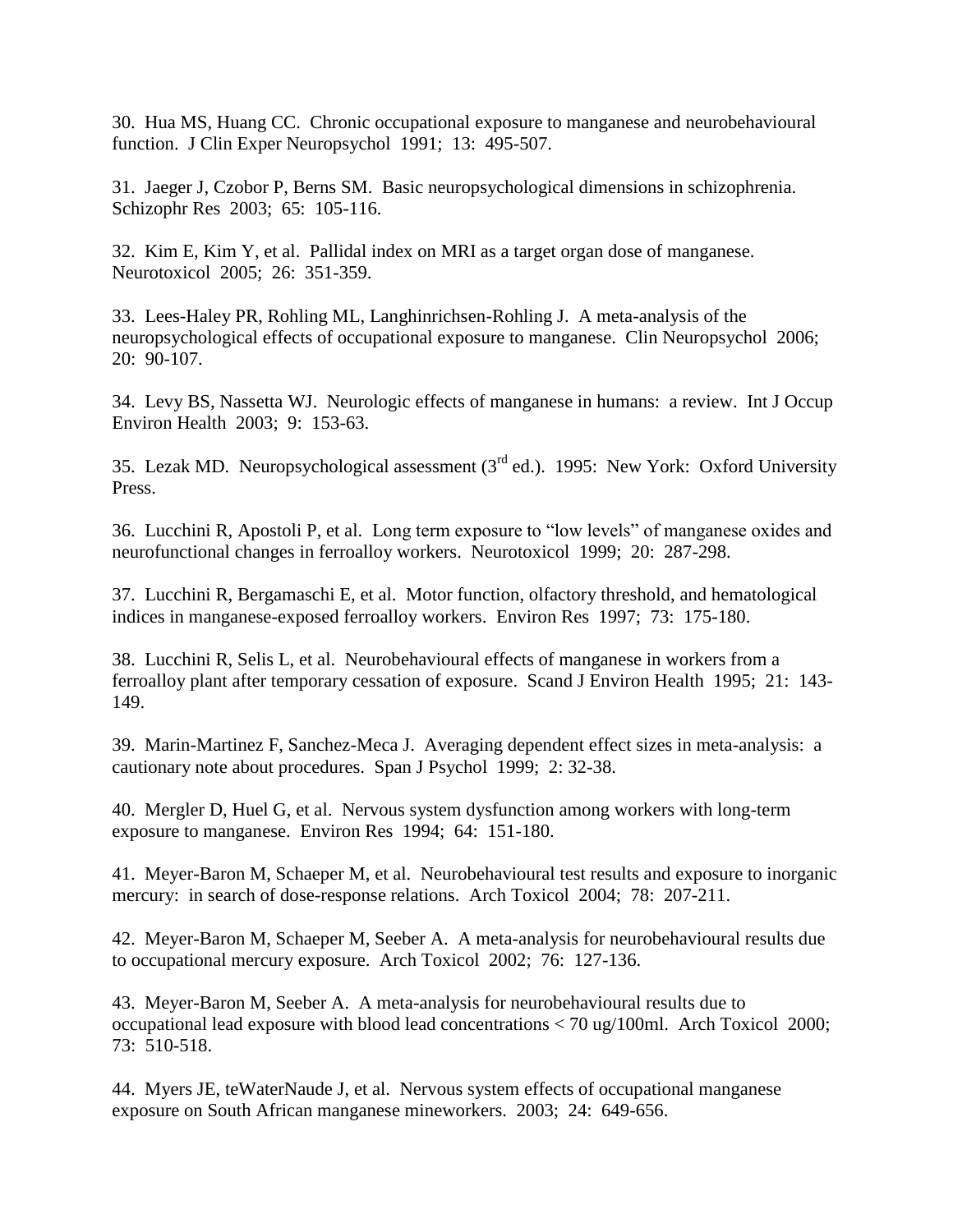30. Hua MS, Huang CC. Chronic occupational exposure to manganese and neurobehavioural function. J Clin Exper Neuropsychol 1991; 13: 495-507.

31. Jaeger J, Czobor P, Berns SM. Basic neuropsychological dimensions in schizophrenia. Schizophr Res 2003; 65: 105-116.

32. Kim E, Kim Y, et al. Pallidal index on MRI as a target organ dose of manganese. Neurotoxicol 2005; 26: 351-359.

33. Lees-Haley PR, Rohling ML, Langhinrichsen-Rohling J. A meta-analysis of the neuropsychological effects of occupational exposure to manganese. Clin Neuropsychol 2006; 20: 90-107.

34. Levy BS, Nassetta WJ. Neurologic effects of manganese in humans: a review. Int J Occup Environ Health 2003; 9: 153-63.

35. Lezak MD. Neuropsychological assessment  $3<sup>rd</sup>$  ed.). 1995: New York: Oxford University Press.

36. Lucchini R, Apostoli P, et al. Long term exposure to "low levels" of manganese oxides and neurofunctional changes in ferroalloy workers. Neurotoxicol 1999; 20: 287-298.

37. Lucchini R, Bergamaschi E, et al. Motor function, olfactory threshold, and hematological indices in manganese-exposed ferroalloy workers. Environ Res 1997; 73: 175-180.

38. Lucchini R, Selis L, et al. Neurobehavioural effects of manganese in workers from a ferroalloy plant after temporary cessation of exposure. Scand J Environ Health 1995; 21: 143- 149.

39. Marin-Martinez F, Sanchez-Meca J. Averaging dependent effect sizes in meta-analysis: a cautionary note about procedures. Span J Psychol 1999; 2: 32-38.

40. Mergler D, Huel G, et al. Nervous system dysfunction among workers with long-term exposure to manganese. Environ Res 1994; 64: 151-180.

41. Meyer-Baron M, Schaeper M, et al. Neurobehavioural test results and exposure to inorganic mercury: in search of dose-response relations. Arch Toxicol 2004; 78: 207-211.

42. Meyer-Baron M, Schaeper M, Seeber A. A meta-analysis for neurobehavioural results due to occupational mercury exposure. Arch Toxicol 2002; 76: 127-136.

43. Meyer-Baron M, Seeber A. A meta-analysis for neurobehavioural results due to occupational lead exposure with blood lead concentrations < 70 ug/100ml. Arch Toxicol 2000; 73: 510-518.

44. Myers JE, teWaterNaude J, et al. Nervous system effects of occupational manganese exposure on South African manganese mineworkers. 2003; 24: 649-656.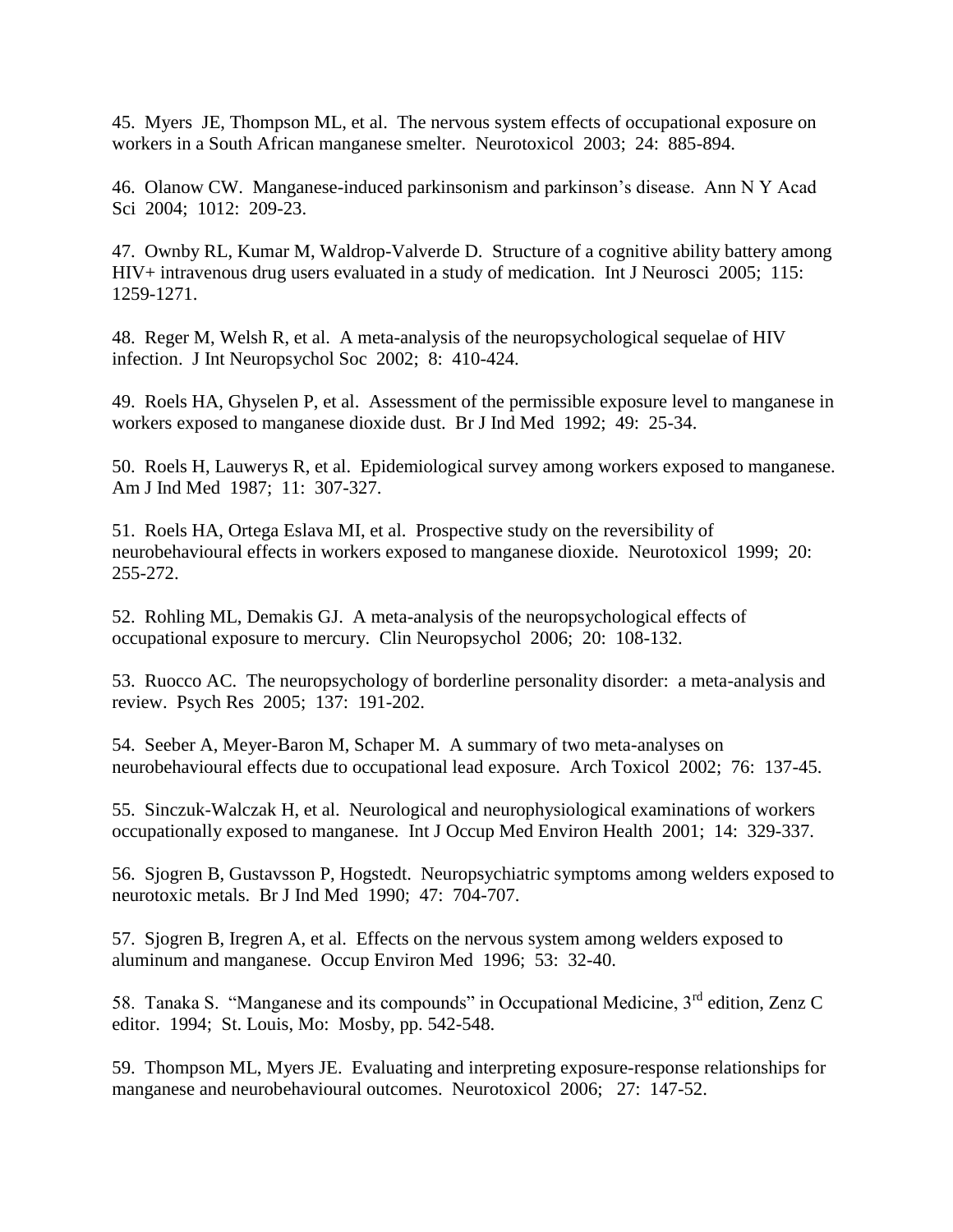45. Myers JE, Thompson ML, et al. The nervous system effects of occupational exposure on workers in a South African manganese smelter. Neurotoxicol 2003; 24: 885-894.

46. Olanow CW. Manganese-induced parkinsonism and parkinson's disease. Ann N Y Acad Sci 2004; 1012: 209-23.

47. Ownby RL, Kumar M, Waldrop-Valverde D. Structure of a cognitive ability battery among HIV+ intravenous drug users evaluated in a study of medication. Int J Neurosci 2005; 115: 1259-1271.

48. Reger M, Welsh R, et al. A meta-analysis of the neuropsychological sequelae of HIV infection. J Int Neuropsychol Soc 2002; 8: 410-424.

49. Roels HA, Ghyselen P, et al. Assessment of the permissible exposure level to manganese in workers exposed to manganese dioxide dust. Br J Ind Med 1992; 49: 25-34.

50. Roels H, Lauwerys R, et al. Epidemiological survey among workers exposed to manganese. Am J Ind Med 1987; 11: 307-327.

51. Roels HA, Ortega Eslava MI, et al. Prospective study on the reversibility of neurobehavioural effects in workers exposed to manganese dioxide. Neurotoxicol 1999; 20: 255-272.

52. Rohling ML, Demakis GJ. A meta-analysis of the neuropsychological effects of occupational exposure to mercury. Clin Neuropsychol 2006; 20: 108-132.

53. Ruocco AC. The neuropsychology of borderline personality disorder: a meta-analysis and review. Psych Res 2005; 137: 191-202.

54. Seeber A, Meyer-Baron M, Schaper M. A summary of two meta-analyses on neurobehavioural effects due to occupational lead exposure. Arch Toxicol 2002; 76: 137-45.

55. Sinczuk-Walczak H, et al. Neurological and neurophysiological examinations of workers occupationally exposed to manganese. Int J Occup Med Environ Health 2001; 14: 329-337.

56. Sjogren B, Gustavsson P, Hogstedt. Neuropsychiatric symptoms among welders exposed to neurotoxic metals. Br J Ind Med 1990; 47: 704-707.

57. Sjogren B, Iregren A, et al. Effects on the nervous system among welders exposed to aluminum and manganese. Occup Environ Med 1996; 53: 32-40.

58. Tanaka S. "Manganese and its compounds" in Occupational Medicine, 3rd edition, Zenz C editor. 1994; St. Louis, Mo: Mosby, pp. 542-548.

59. Thompson ML, Myers JE. Evaluating and interpreting exposure-response relationships for manganese and neurobehavioural outcomes. Neurotoxicol 2006; 27: 147-52.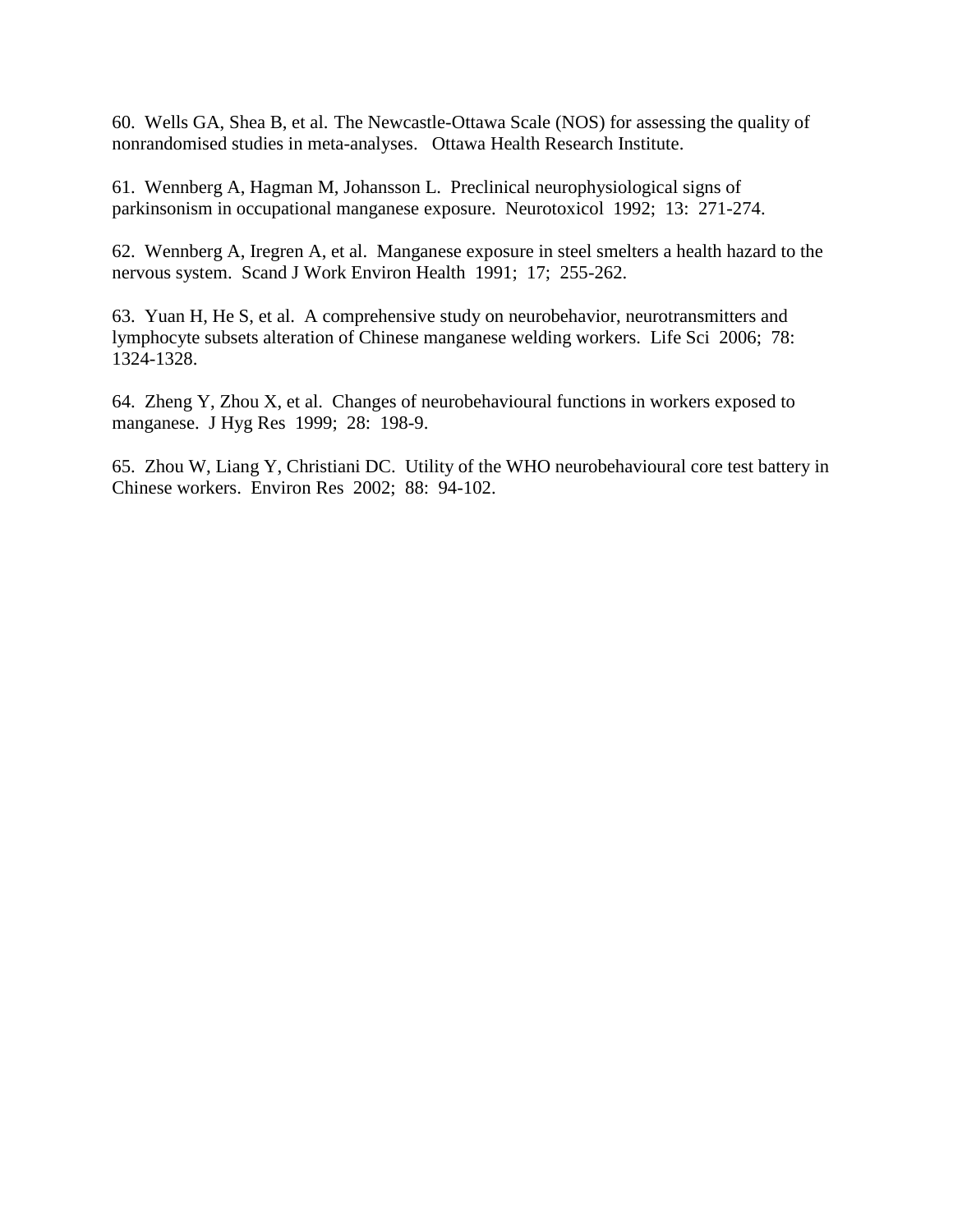60. Wells GA, Shea B, et al. The Newcastle-Ottawa Scale (NOS) for assessing the quality of nonrandomised studies in meta-analyses. Ottawa Health Research Institute.

61. Wennberg A, Hagman M, Johansson L. Preclinical neurophysiological signs of parkinsonism in occupational manganese exposure. Neurotoxicol 1992; 13: 271-274.

62. Wennberg A, Iregren A, et al. Manganese exposure in steel smelters a health hazard to the nervous system. Scand J Work Environ Health 1991; 17; 255-262.

63. Yuan H, He S, et al. A comprehensive study on neurobehavior, neurotransmitters and lymphocyte subsets alteration of Chinese manganese welding workers. Life Sci 2006; 78: 1324-1328.

64. Zheng Y, Zhou X, et al. Changes of neurobehavioural functions in workers exposed to manganese. J Hyg Res 1999; 28: 198-9.

65. Zhou W, Liang Y, Christiani DC. Utility of the WHO neurobehavioural core test battery in Chinese workers. Environ Res 2002; 88: 94-102.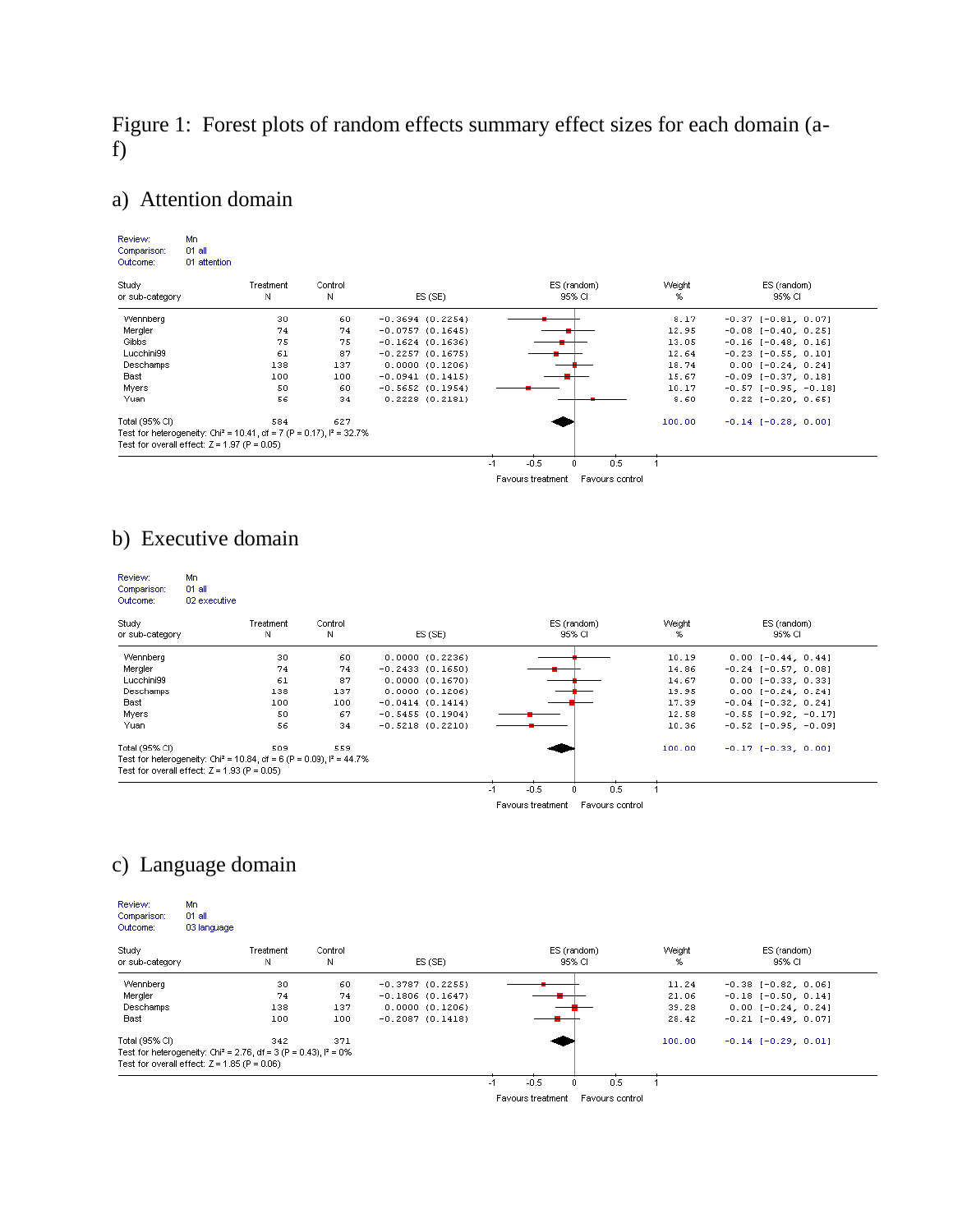Figure 1: Forest plots of random effects summary effect sizes for each domain (af)

### a) Attention domain

| Review:                                        | Mn           |           |                                                                                   |                     |                                      |        |                               |
|------------------------------------------------|--------------|-----------|-----------------------------------------------------------------------------------|---------------------|--------------------------------------|--------|-------------------------------|
| Comparison:                                    | $01$ all     |           |                                                                                   |                     |                                      |        |                               |
| Outcome:                                       | 01 attention |           |                                                                                   |                     |                                      |        |                               |
| Study                                          |              | Treatment | Control                                                                           |                     | ES (random)                          | Weight | ES (random)                   |
| or sub-category                                |              | Ν         | И                                                                                 | ES(SE)              | 95% CI                               | %      | 95% CI                        |
| Wennberg                                       |              | 30        | 60                                                                                | $-0.3694(0.2254)$   |                                      | 8.17   | $-0.37$ [ $-0.81$ , $0.07$ ]  |
| Mergler                                        |              | 74        | 74                                                                                | $-0.0757(0.1645)$   |                                      | 12.95  | $-0.08$ [ $-0.40$ , $0.25$ ]  |
| Gibbs                                          |              | 75        | 75                                                                                | $-0.1624(0.1636)$   |                                      | 13.05  | $-0.16$ [ $-0.48$ , $0.16$ ]  |
| Lucchini99                                     |              | 61        | 87                                                                                | $-0.2257(0.1675)$   |                                      | 12.64  | $-0.23$ [ $-0.55$ , 0.10]     |
| Deschamps                                      |              | 138       | 137                                                                               | 0.0000(0.1206)      |                                      | 18.74  | $0.00[-0.24, 0.24]$           |
| <b>Bast</b>                                    |              | 100       | 100                                                                               | $-0.0941(0.1415)$   |                                      | 15.67  | $-0.09$ [ $-0.37$ , 0.18]     |
| Myers                                          |              | 50        | 60                                                                                | $-0.5652(0.1954)$   |                                      | 10.17  | $-0.57$ [ $-0.95$ , $-0.18$ ] |
| Yuan                                           |              | 56        | 34                                                                                | $0.2228$ $(0.2181)$ |                                      | 8.60   | $0.22$ [-0.20, 0.65]          |
| Total (95% CI)                                 |              | 584       | 627                                                                               |                     |                                      | 100.00 | $-0.14$ [ $-0.28$ , 0.00]     |
|                                                |              |           | Test for heterogeneity: Chi <sup>2</sup> = 10.41, df = 7 (P = 0.17), $P = 32.7\%$ |                     |                                      |        |                               |
| Test for overall effect: $Z = 1.97$ (P = 0.05) |              |           |                                                                                   |                     |                                      |        |                               |
|                                                |              |           |                                                                                   |                     | $-0.5$<br>0.5<br>0.<br>$-1$          |        |                               |
|                                                |              |           |                                                                                   |                     | Favours treatment<br>Favours control |        |                               |

### b) Executive domain

| Review:<br>Comparison:<br>Outcome:             | Mn<br>01 all<br>02 executive |           |                                                                                    |                    |                                      |        |                               |
|------------------------------------------------|------------------------------|-----------|------------------------------------------------------------------------------------|--------------------|--------------------------------------|--------|-------------------------------|
| Study                                          |                              | Treatment | Control                                                                            |                    | ES (random)                          | Weight | ES (random)                   |
| or sub-category                                |                              | Ν         | Ν                                                                                  | ES(SE)             | 95% CI                               | %      | 95% CI                        |
| Wennberg                                       |                              | 30        | 60                                                                                 | 0.0000(0.2236)     |                                      | 10.19  | $0.00[-0.44, 0.44]$           |
| Mergler                                        |                              | 74        | 74                                                                                 | $-0.2433(0.1650)$  |                                      | 14.86  | $-0.24$ [ $-0.57$ , 0.08]     |
| Lucchini99                                     |                              | 61        | 87                                                                                 | 0.0000(0.1670)     |                                      | 14.67  | $0.00$ [-0.33, 0.33]          |
| Deschamps                                      |                              | 138       | 137                                                                                | 0.0000(0.1206)     |                                      | 19.95  | $0.00[-0.24, 0.24]$           |
| Bast                                           |                              | 100       | 100                                                                                | $-0.0414$ (0.1414) |                                      | 17.39  | $-0.04$ [ $-0.32$ , $0.24$ ]  |
| Myers                                          |                              | 50        | 67                                                                                 | $-0.5455(0.1904)$  |                                      | 12.58  | $-0.55$ [ $-0.92$ , $-0.17$ ] |
| Yuan                                           |                              | 56        | 34                                                                                 | $-0.5218$ (0.2210) |                                      | 10.36  | $-0.52$ [-0.95, -0.09]        |
| Total (95% CI)                                 |                              | 509       | 559                                                                                |                    |                                      | 100.00 | $-0.17$ [ $-0.33$ , 0.00]     |
|                                                |                              |           | Test for heterogeneity: Chi <sup>2</sup> = 10.84, df = 6 (P = 0.09), $I^2$ = 44.7% |                    |                                      |        |                               |
| Test for overall effect: $Z = 1.93$ (P = 0.05) |                              |           |                                                                                    |                    |                                      |        |                               |
|                                                |                              |           |                                                                                    |                    | $-0.5$<br>0.5<br>n                   |        |                               |
|                                                |                              |           |                                                                                    |                    | Favours treatment<br>Favours control |        |                               |

### c) Language domain

| Review:<br>Comparison:<br>Outcome: | Mn<br>01 all<br>03 language                                                   |                |              |                   |                       |     |             |                              |
|------------------------------------|-------------------------------------------------------------------------------|----------------|--------------|-------------------|-----------------------|-----|-------------|------------------------------|
| Study<br>or sub-category           |                                                                               | Treatment<br>N | Control<br>N | ES(SE)            | ES (random)<br>95% CI |     | Weight<br>% | ES (random)<br>95% CI        |
| Wennberg                           |                                                                               | 30             | 60           | $-0.3787(0.2255)$ |                       |     | 11.24       | $-0.38$ [ $-0.82$ , $0.06$ ] |
| Mergler                            |                                                                               | 74             | 74           | $-0.1806(0.1647)$ |                       |     | 21.06       | $-0.18$ [ $-0.50$ , $0.14$ ] |
| Deschamps                          |                                                                               | 138            | 137          | 0.0000(0.1206)    |                       |     | 39.28       | $0.00$ [-0.24, 0.24]         |
| Bast                               |                                                                               | 100            | 100          | $-0.2087(0.1418)$ |                       |     | 28.42       | $-0.21$ [ $-0.49$ , 0.07]    |
| Total (95% CI)                     |                                                                               | 342            | 371          |                   |                       |     | 100.00      | $-0.14$ [ $-0.29$ , $0.01$ ] |
|                                    | Test for heterogeneity: Chi <sup>2</sup> = 2.76, df = 3 (P = 0.43), $P = 0\%$ |                |              |                   |                       |     |             |                              |
|                                    | Test for overall effect: $Z = 1.85$ (P = 0.06)                                |                |              |                   |                       |     |             |                              |
|                                    |                                                                               |                |              |                   | $-0.5$<br>0<br>-1     | 0.5 |             |                              |

Favours treatment Favours control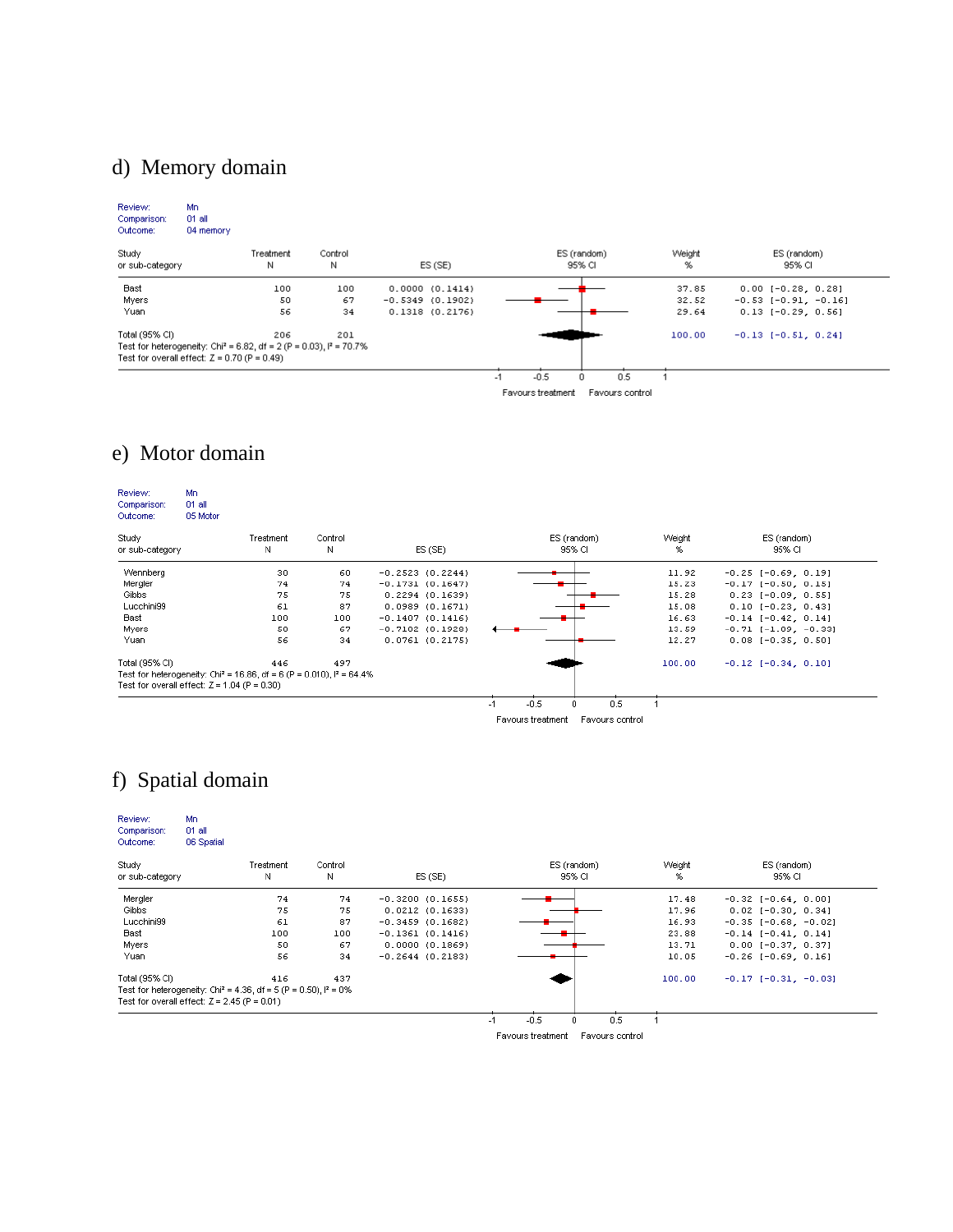## d) Memory domain

| Review:<br>Comparison:<br>Outcome:             | Mn.<br>01 all<br>04 memory |                                                                                   |              |                   |                                      |             |                               |
|------------------------------------------------|----------------------------|-----------------------------------------------------------------------------------|--------------|-------------------|--------------------------------------|-------------|-------------------------------|
| Study<br>or sub-category                       |                            | Treatment<br>Ν                                                                    | Control<br>Ν | ES(SE)            | ES (random)<br>95% CI                | Weight<br>% | ES (random)<br>95% CI         |
| Bast                                           |                            | 100                                                                               | 100          | 0.0000(0.1414)    |                                      | 37.85       | $0.00$ [-0.28, 0.28]          |
| Myers                                          |                            | 50                                                                                | 67           | $-0.5349(0.1902)$ |                                      | 32.52       | $-0.53$ [ $-0.91$ , $-0.16$ ] |
| Yuan                                           |                            | 56                                                                                | 34           | 0.1318(0.2176)    |                                      | 29.64       | $0.13$ [-0.29, 0.56]          |
| Total (95% CI)                                 |                            | 206                                                                               | 201          |                   |                                      | 100.00      | $-0.13$ $[-0.51, 0.24]$       |
|                                                |                            | Test for heterogeneity: Chi <sup>2</sup> = 6.82, df = 2 (P = 0.03), $I^2$ = 70.7% |              |                   |                                      |             |                               |
| Test for overall effect: $Z = 0.70$ (P = 0.49) |                            |                                                                                   |              |                   |                                      |             |                               |
|                                                |                            |                                                                                   |              |                   | $-0.5$<br>0.5<br>$-1$<br>0           |             |                               |
|                                                |                            |                                                                                   |              |                   | Favours treatment<br>Favours control |             |                               |

### e) Motor domain

| Review:<br>Comparison:<br>Outcome:                                                 | Mn.<br>01 all<br>05 Motor |           |         |                    |                                      |        |                               |
|------------------------------------------------------------------------------------|---------------------------|-----------|---------|--------------------|--------------------------------------|--------|-------------------------------|
| Study                                                                              |                           | Treatment | Control |                    | ES (random)                          | Weight | ES (random)                   |
| or sub-category                                                                    |                           | Ν         | Ν       | ES(SE)             | 95% CI                               | %      | 95% CI                        |
| Wennberg                                                                           |                           | 30        | 60      | $-0.2523(0.2244)$  |                                      | 11.92  | $-0.25$ [ $-0.69$ , $0.19$ ]  |
| Mergler                                                                            |                           | 74        | 74      | $-0.1731(0.1647)$  |                                      | 15.23  | $-0.17$ [ $-0.50$ , $0.15$ ]  |
| Gibbs                                                                              |                           | 75        | 75      | 0.2294(0.1639)     |                                      | 15.28  | $0.23$ [-0.09, 0.55]          |
| Lucchini99                                                                         |                           | 61        | 87      | 0.0989(0.1671)     |                                      | 15.08  | $0.10$ [-0.23, 0.43]          |
| Bast                                                                               |                           | 100       | 100     | $-0.1407(0.1416)$  |                                      | 16.63  | $-0.14$ [ $-0.42$ , $0.14$ ]  |
| Myers                                                                              |                           | 50        | 67      | $-0.7102$ (0.1928) |                                      | 13.59  | $-0.71$ [ $-1.09$ , $-0.33$ ] |
| Yuan                                                                               |                           | 56        | 34      | 0.0761(0.2175)     |                                      | 12.27  | $0.08$ [-0.35, 0.50]          |
| Total (95% CI)                                                                     |                           | 446       | 497     |                    |                                      | 100.00 | $-0.12$ [ $-0.34$ , 0.10]     |
| Test for heterogeneity: Chi <sup>2</sup> = 16.86, df = 6 (P = 0.010), $P = 64.4\%$ |                           |           |         |                    |                                      |        |                               |
| Test for overall effect: $Z = 1.04$ (P = 0.30)                                     |                           |           |         |                    |                                      |        |                               |
|                                                                                    |                           |           |         |                    | $-0.5$<br>0.5<br>-1                  |        |                               |
|                                                                                    |                           |           |         |                    | Favours treatment<br>Favours control |        |                               |

## f) Spatial domain

| Review:<br>Comparison:<br>Outcome:                                            | Mn<br>01 all<br>06 Spatial |           |         |                     |                                      |        |                               |  |
|-------------------------------------------------------------------------------|----------------------------|-----------|---------|---------------------|--------------------------------------|--------|-------------------------------|--|
| Study                                                                         |                            | Treatment | Control |                     | ES (random)                          | Weight | ES (random)                   |  |
| or sub-category                                                               |                            | Ν         | Ν       | ES(SE)              | 95% CI                               | %      | 95% CI                        |  |
| Mergler                                                                       |                            | 74        | 74      | $-0.3200(0.1655)$   |                                      | 17.48  | $-0.32$ [ $-0.64$ , 0.00]     |  |
| Gibbs                                                                         |                            | 75        | 75      | $0.0212$ $(0.1633)$ |                                      | 17.96  | $0.02$ [-0.30, 0.34]          |  |
| Lucchini99                                                                    |                            | 61        | 87      | $-0.3459(0.1682)$   |                                      | 16.93  | $-0.35$ [ $-0.68$ , $-0.02$ ] |  |
| Bast                                                                          |                            | 100       | 100     | $-0.1361(0.1416)$   |                                      | 23.88  | $-0.14$ [ $-0.41$ , 0.14]     |  |
| Myers                                                                         |                            | 50        | 67      | 0.0000(0.1869)      |                                      | 13.71  | $0.00$ [-0.37, 0.37]          |  |
| Yuan                                                                          |                            | 56        | 34      | $-0.2644(0.2183)$   |                                      | 10.05  | $-0.26$ [ $-0.69$ , 0.16]     |  |
| Total (95% CI)                                                                |                            | 416       | 437     |                     |                                      | 100.00 | $-0.17[-0.31, -0.03]$         |  |
| Test for heterogeneity: Chi <sup>2</sup> = 4.36, df = 5 (P = 0.50), $P = 0\%$ |                            |           |         |                     |                                      |        |                               |  |
| Test for overall effect: $Z = 2.45$ (P = 0.01)                                |                            |           |         |                     |                                      |        |                               |  |
|                                                                               |                            |           |         |                     | $-0.5$<br>0.5<br>$\Omega$<br>$-1$    |        |                               |  |
|                                                                               |                            |           |         |                     | Favours treatment<br>Favours control |        |                               |  |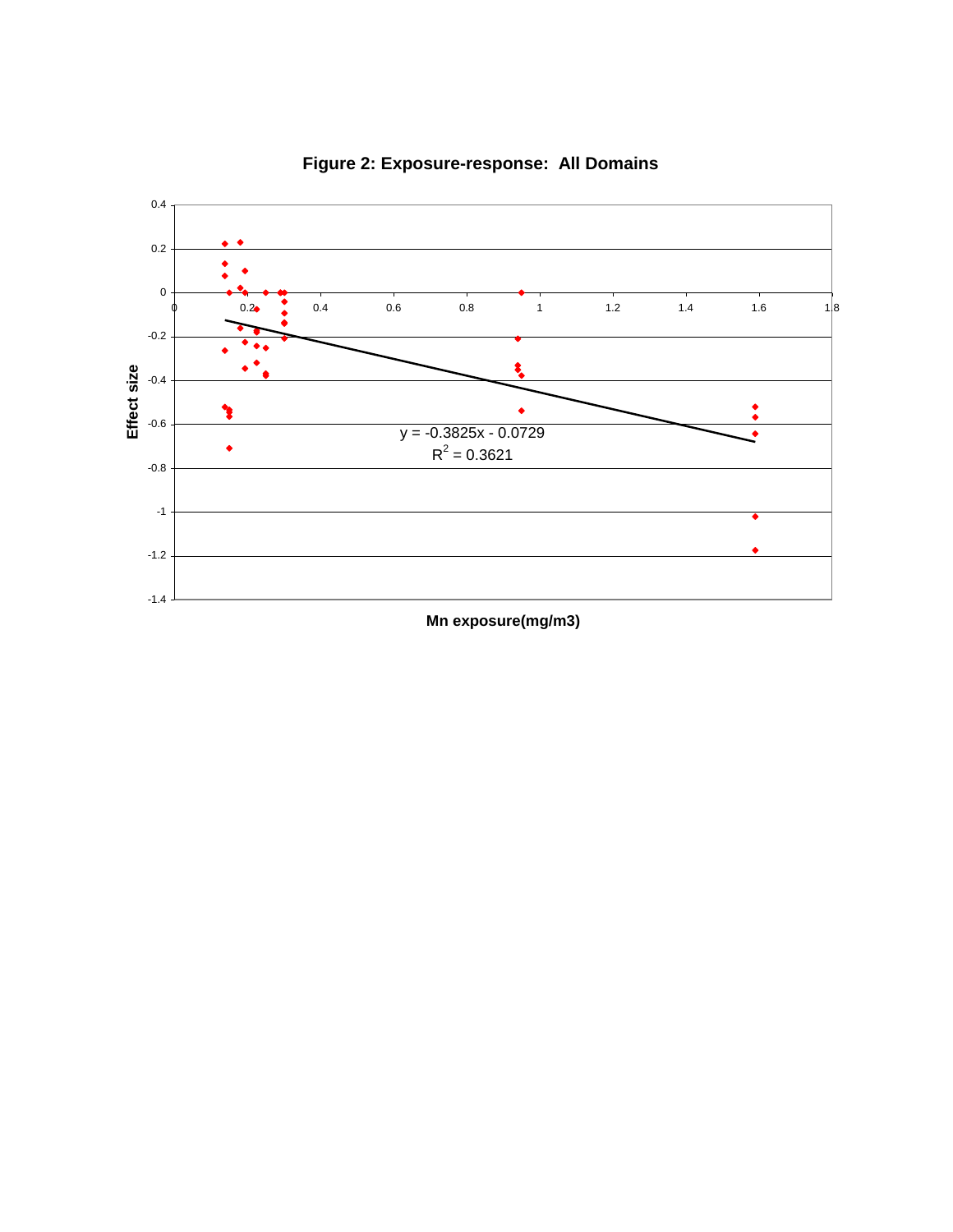

**Figure 2: Exposure-response: All Domains**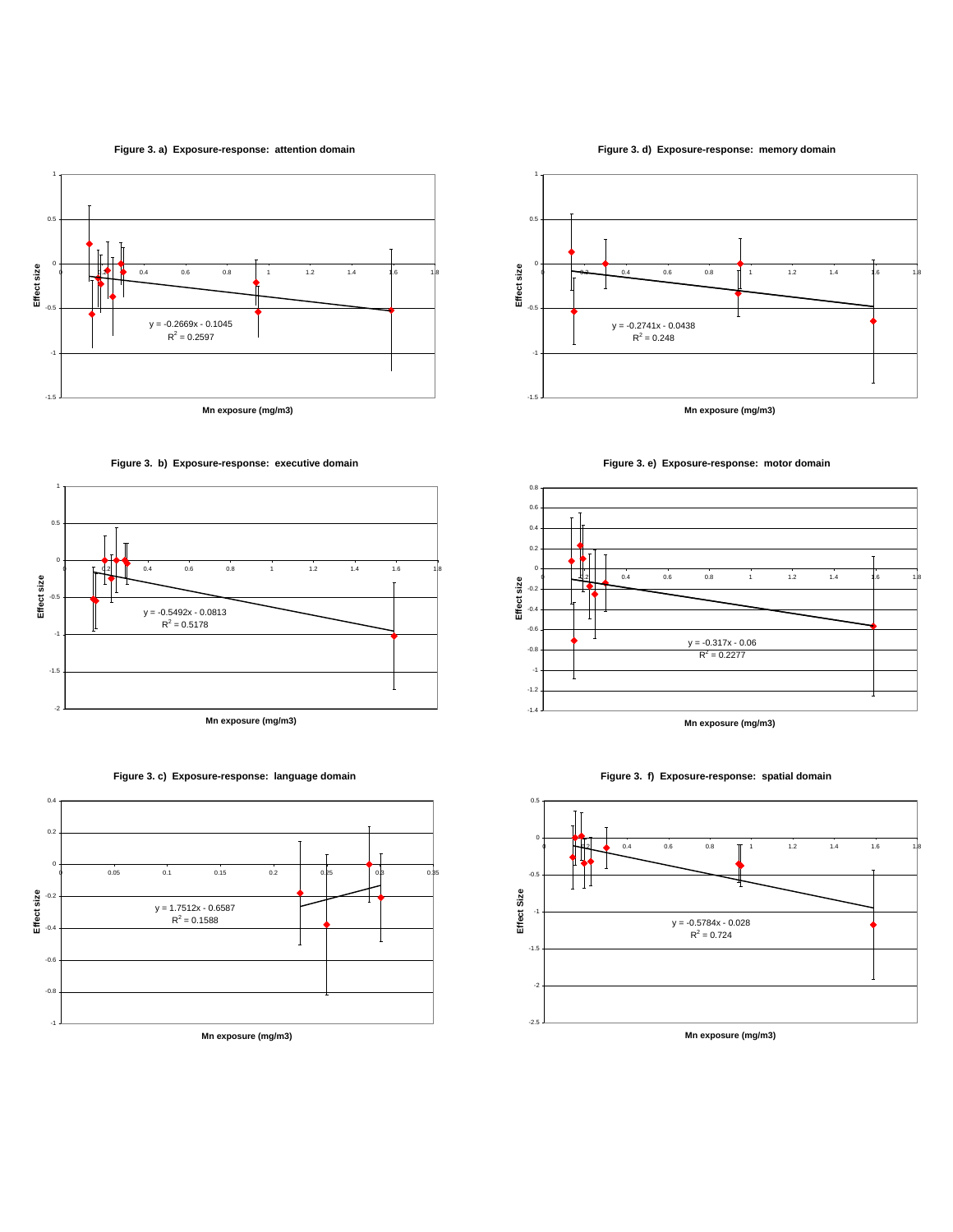#### **Figure 3. a) Exposure-response: attention domain**











**Figure 3. d) Exposure-response: memory domain**







#### **Figure 3. f) Exposure-response: spatial domain**

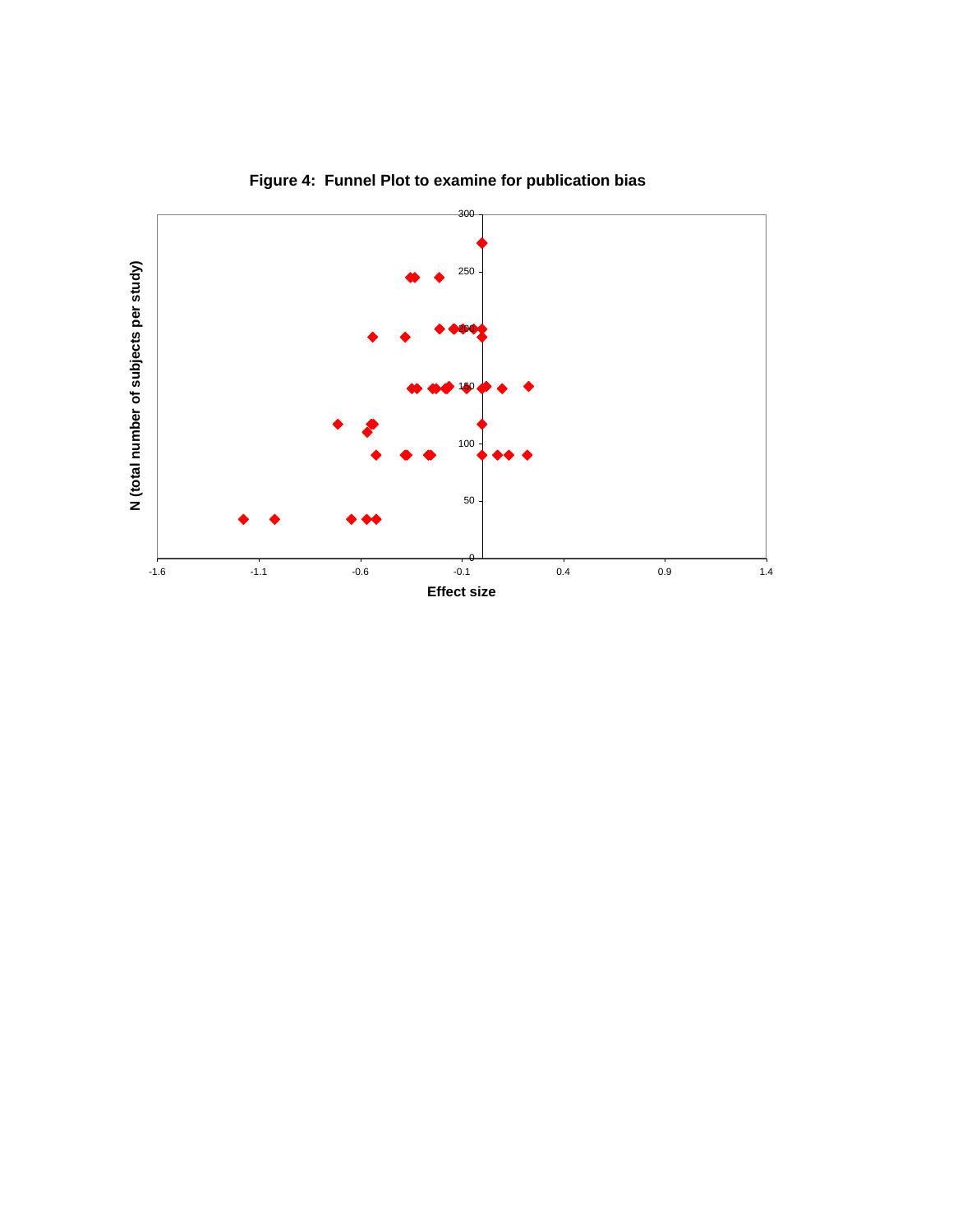

**Figure 4: Funnel Plot to examine for publication bias**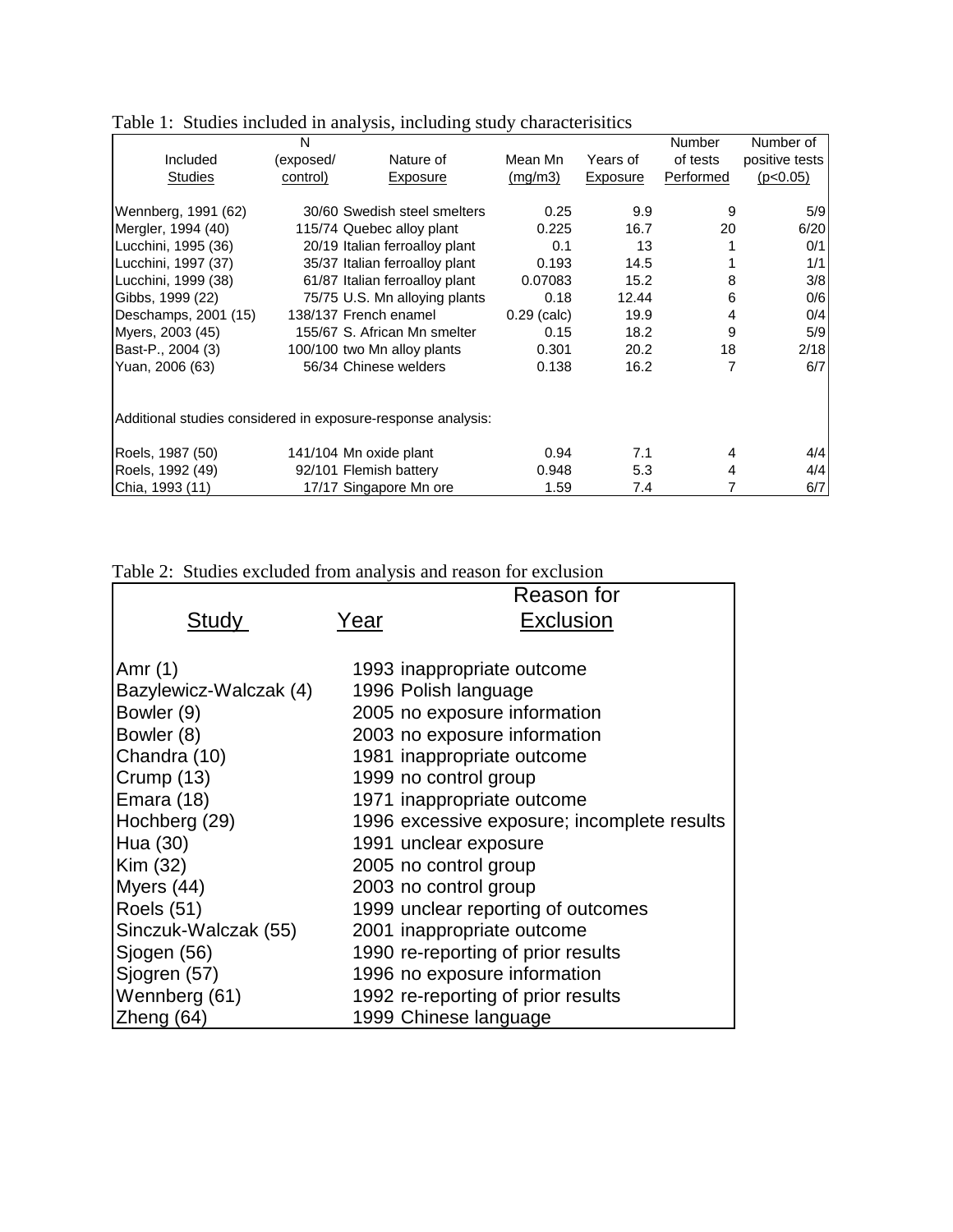|                                                              | N         |                                |               |          | Number    | Number of      |
|--------------------------------------------------------------|-----------|--------------------------------|---------------|----------|-----------|----------------|
| Included                                                     | (exposed/ | Nature of                      | Mean Mn       | Years of | of tests  | positive tests |
| <b>Studies</b>                                               | control)  | Exposure                       | (mg/m3)       | Exposure | Performed | (p<0.05)       |
|                                                              |           |                                |               |          |           |                |
| Wennberg, 1991 (62)                                          |           | 30/60 Swedish steel smelters   | 0.25          | 9.9      | 9         | 5/9            |
| Mergler, 1994 (40)                                           |           | 115/74 Quebec alloy plant      | 0.225         | 16.7     | 20        | 6/20           |
| Lucchini, 1995 (36)                                          |           | 20/19 Italian ferroalloy plant | 0.1           | 13       |           | 0/1            |
| Lucchini, 1997 (37)                                          |           | 35/37 Italian ferroalloy plant | 0.193         | 14.5     |           | 1/1            |
| Lucchini, 1999 (38)                                          |           | 61/87 Italian ferroalloy plant | 0.07083       | 15.2     | 8         | 3/8            |
| Gibbs, 1999 (22)                                             |           | 75/75 U.S. Mn alloying plants  | 0.18          | 12.44    | 6         | 0/6            |
| Deschamps, 2001 (15)                                         |           | 138/137 French enamel          | $0.29$ (calc) | 19.9     | 4         | 0/4            |
| Myers, 2003 (45)                                             |           | 155/67 S. African Mn smelter   | 0.15          | 18.2     | 9         | 5/9            |
| Bast-P., 2004 (3)                                            |           | 100/100 two Mn alloy plants    | 0.301         | 20.2     | 18        | 2/18           |
| Yuan, 2006 (63)                                              |           | 56/34 Chinese welders          | 0.138         | 16.2     | 7         | 6/7            |
|                                                              |           |                                |               |          |           |                |
| Additional studies considered in exposure-response analysis: |           |                                |               |          |           |                |
| Roels, 1987 (50)                                             |           | 141/104 Mn oxide plant         | 0.94          | 7.1      | 4         | 4/4            |
| Roels, 1992 (49)                                             |           | 92/101 Flemish battery         | 0.948         | 5.3      | 4         | 4/4            |
| Chia, 1993 (11)                                              |           | 17/17 Singapore Mn ore         | 1.59          | 7.4      |           | 6/7            |

Table 1: Studies included in analysis, including study characterisitics

|  |  |  |  | Table 2: Studies excluded from analysis and reason for exclusion |
|--|--|--|--|------------------------------------------------------------------|
|  |  |  |  |                                                                  |

|                        |      | Reason for                                  |
|------------------------|------|---------------------------------------------|
| Study                  | Year | Exclusion                                   |
|                        |      |                                             |
| Amr $(1)$              |      | 1993 inappropriate outcome                  |
| Bazylewicz-Walczak (4) |      | 1996 Polish language                        |
| Bowler (9)             |      | 2005 no exposure information                |
| Bowler (8)             |      | 2003 no exposure information                |
| Chandra (10)           |      | 1981 inappropriate outcome                  |
| Crump (13)             |      | 1999 no control group                       |
| Emara (18)             |      | 1971 inappropriate outcome                  |
| Hochberg (29)          |      | 1996 excessive exposure; incomplete results |
| Hua (30)               |      | 1991 unclear exposure                       |
| Kim (32)               |      | 2005 no control group                       |
| Myers (44)             |      | 2003 no control group                       |
| <b>Roels (51)</b>      |      | 1999 unclear reporting of outcomes          |
| Sinczuk-Walczak (55)   |      | 2001 inappropriate outcome                  |
| Sjogen (56)            |      | 1990 re-reporting of prior results          |
| Sjogren (57)           |      | 1996 no exposure information                |
| Wennberg (61)          |      | 1992 re-reporting of prior results          |
| Zheng $(64)$           |      | 1999 Chinese language                       |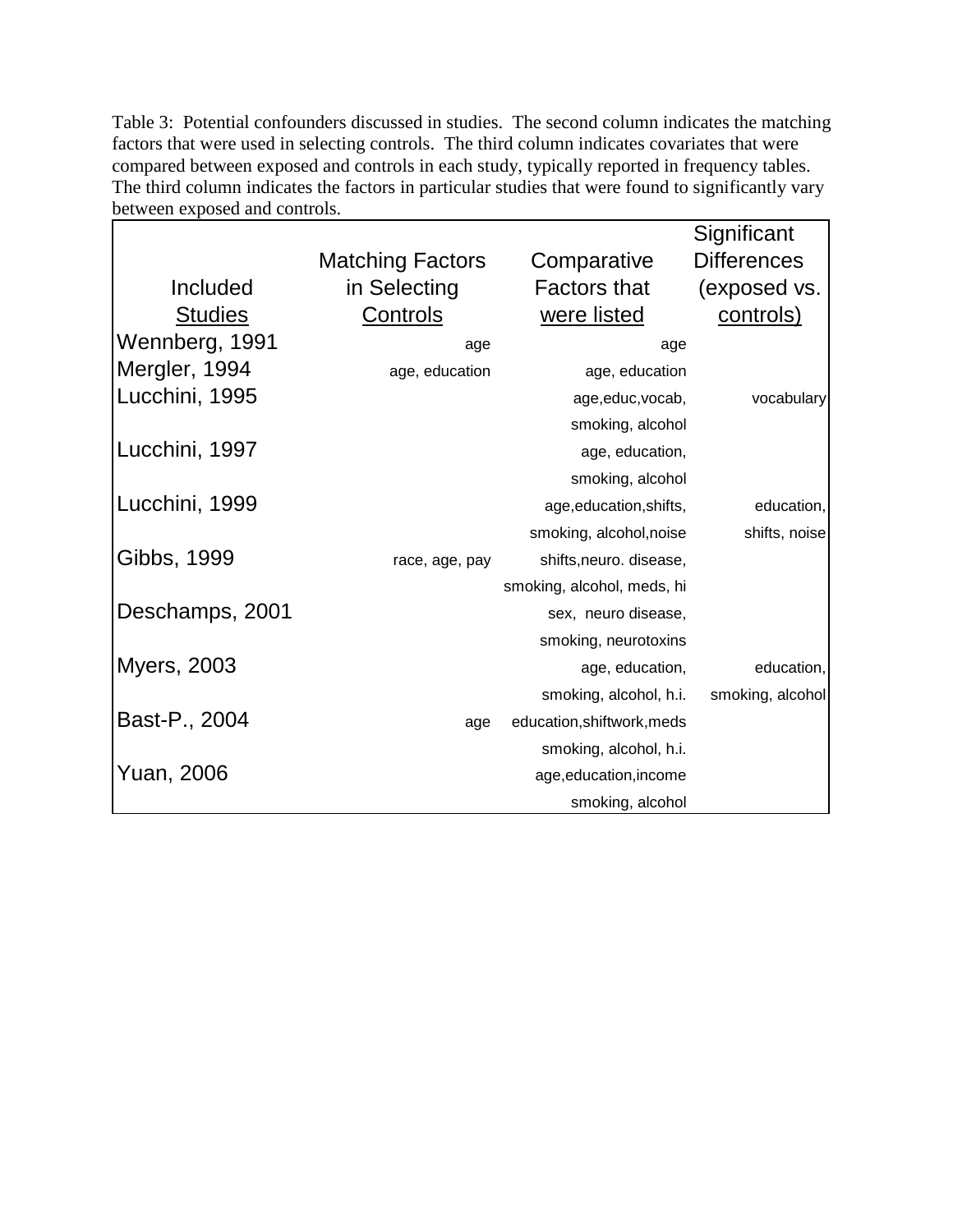Table 3: Potential confounders discussed in studies. The second column indicates the matching factors that were used in selecting controls. The third column indicates covariates that were compared between exposed and controls in each study, typically reported in frequency tables. The third column indicates the factors in particular studies that were found to significantly vary between exposed and controls.

|                    |                         |                            | Significant        |
|--------------------|-------------------------|----------------------------|--------------------|
|                    | <b>Matching Factors</b> | Comparative                | <b>Differences</b> |
| Included           | in Selecting            | <b>Factors that</b>        | (exposed vs.       |
| <b>Studies</b>     | Controls                | were listed                | controls)          |
| Wennberg, 1991     | age                     | age                        |                    |
| Mergler, 1994      | age, education          | age, education             |                    |
| Lucchini, 1995     |                         | age, educ, vocab,          | vocabulary         |
|                    |                         | smoking, alcohol           |                    |
| Lucchini, 1997     |                         | age, education,            |                    |
|                    |                         | smoking, alcohol           |                    |
| Lucchini, 1999     |                         | age, education, shifts,    | education,         |
|                    |                         | smoking, alcohol, noise    | shifts, noise      |
| Gibbs, 1999        | race, age, pay          | shifts, neuro. disease,    |                    |
|                    |                         | smoking, alcohol, meds, hi |                    |
| Deschamps, 2001    |                         | sex, neuro disease,        |                    |
|                    |                         | smoking, neurotoxins       |                    |
| <b>Myers, 2003</b> |                         | age, education,            | education,         |
|                    |                         | smoking, alcohol, h.i.     | smoking, alcohol   |
| Bast-P., 2004      | age                     | education, shiftwork, meds |                    |
|                    |                         | smoking, alcohol, h.i.     |                    |
| Yuan, 2006         |                         | age, education, income     |                    |
|                    |                         | smoking, alcohol           |                    |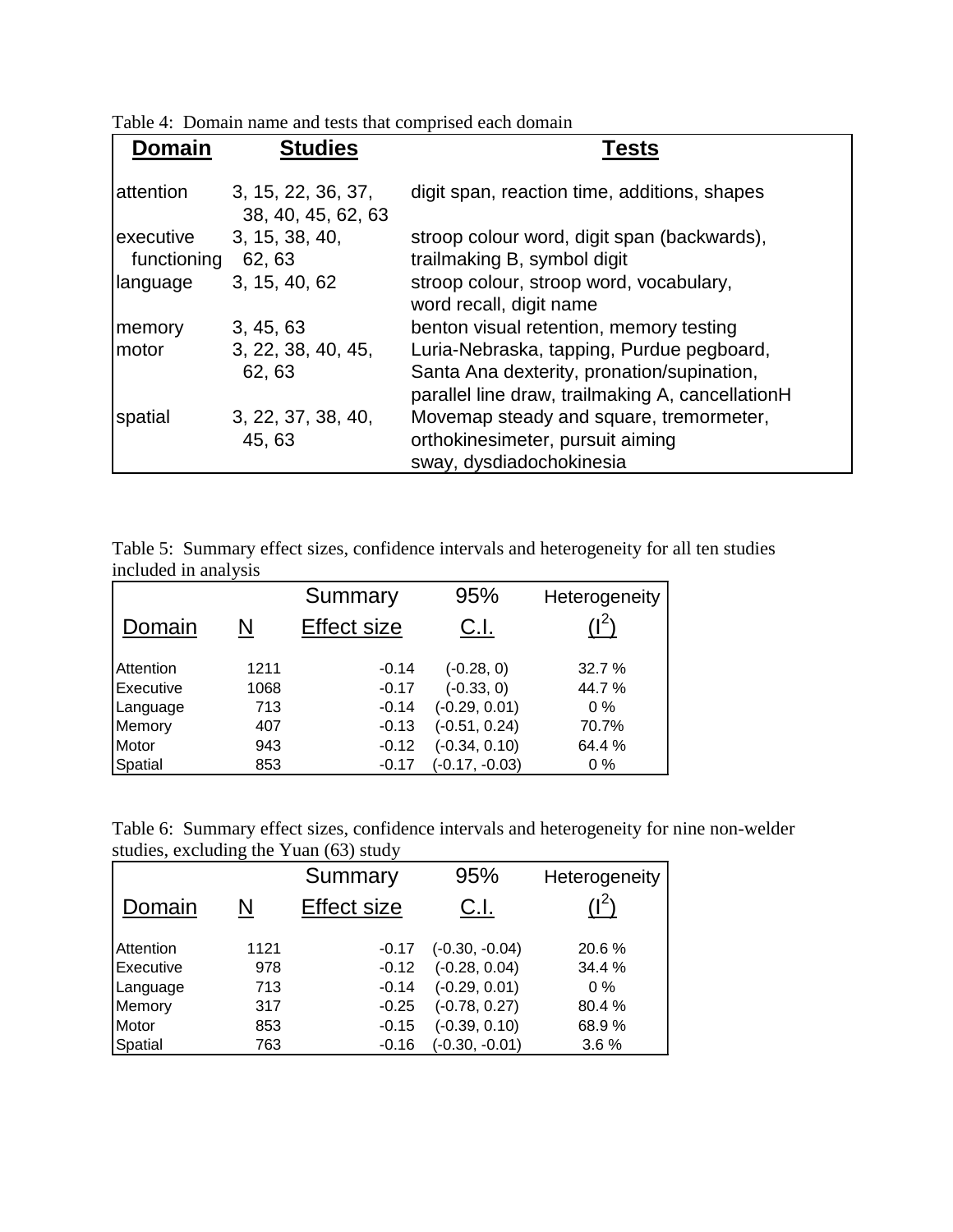Table 4: Domain name and tests that comprised each domain

| <b>Domain</b>            | <b>Studies</b>                           | Tests                                                                                                                                       |
|--------------------------|------------------------------------------|---------------------------------------------------------------------------------------------------------------------------------------------|
| attention                | 3, 15, 22, 36, 37,<br>38, 40, 45, 62, 63 | digit span, reaction time, additions, shapes                                                                                                |
| executive<br>functioning | 3, 15, 38, 40,<br>62, 63                 | stroop colour word, digit span (backwards),<br>trailmaking B, symbol digit                                                                  |
| language                 | 3, 15, 40, 62                            | stroop colour, stroop word, vocabulary,<br>word recall, digit name                                                                          |
| memory                   | 3, 45, 63                                | benton visual retention, memory testing                                                                                                     |
| motor                    | 3, 22, 38, 40, 45,<br>62, 63             | Luria-Nebraska, tapping, Purdue pegboard,<br>Santa Ana dexterity, pronation/supination,<br>parallel line draw, trailmaking A, cancellationH |
| spatial                  | 3, 22, 37, 38, 40,<br>45, 63             | Movemap steady and square, tremormeter,<br>orthokinesimeter, pursuit aiming<br>sway, dysdiadochokinesia                                     |

| Table 5: Summary effect sizes, confidence intervals and heterogeneity for all ten studies |  |  |  |  |
|-------------------------------------------------------------------------------------------|--|--|--|--|
| included in analysis                                                                      |  |  |  |  |

|           |      | Summary            | 95%              | Heterogeneity             |
|-----------|------|--------------------|------------------|---------------------------|
| Domain    | N    | <b>Effect size</b> | C.I.             | $^{\prime}$   $^{\prime}$ |
| Attention | 1211 | $-0.14$            | $(-0.28, 0)$     | 32.7%                     |
| Executive | 1068 | $-0.17$            | $(-0.33, 0)$     | 44.7 %                    |
| Language  | 713  | $-0.14$            | $(-0.29, 0.01)$  | $0\%$                     |
| Memory    | 407  | $-0.13$            | $(-0.51, 0.24)$  | 70.7%                     |
| Motor     | 943  | $-0.12$            | $(-0.34, 0.10)$  | 64.4%                     |
| Spatial   | 853  | $-0.17$            | $(-0.17, -0.03)$ | $0\%$                     |

|                                        | Table 6: Summary effect sizes, confidence intervals and heterogeneity for nine non-welder |  |  |
|----------------------------------------|-------------------------------------------------------------------------------------------|--|--|
| studies, excluding the Yuan (63) study |                                                                                           |  |  |

|           |      | Summary            | 95%              | Heterogeneity |
|-----------|------|--------------------|------------------|---------------|
| Domain    |      | <b>Effect size</b> | C.I.             | $(1^2)$       |
| Attention | 1121 | $-0.17$            | $(-0.30, -0.04)$ | 20.6 %        |
| Executive | 978  | $-0.12$            | $(-0.28, 0.04)$  | 34.4%         |
| Language  | 713  | $-0.14$            | $(-0.29, 0.01)$  | $0\%$         |
| Memory    | 317  | $-0.25$            | $(-0.78, 0.27)$  | 80.4%         |
| Motor     | 853  | $-0.15$            | $(-0.39, 0.10)$  | 68.9%         |
| Spatial   | 763  | $-0.16$            | $(-0.30, -0.01)$ | 3.6%          |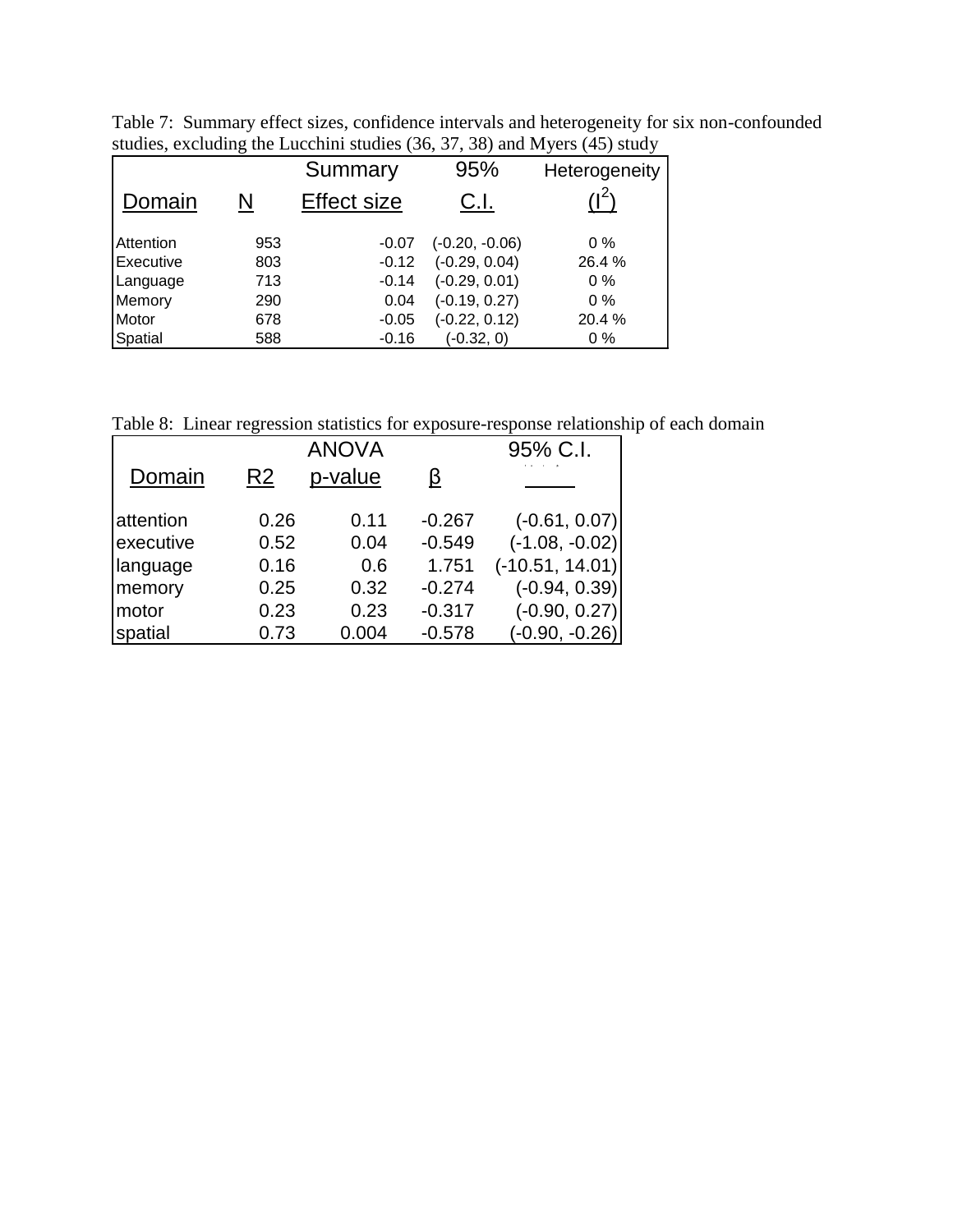| Table 7: Summary effect sizes, confidence intervals and heterogeneity for six non-confounded |  |  |  |
|----------------------------------------------------------------------------------------------|--|--|--|
| studies, excluding the Lucchini studies (36, 37, 38) and Myers (45) study                    |  |  |  |

|           |     | Summary            | 95%              | Heterogeneity |
|-----------|-----|--------------------|------------------|---------------|
| Domain    |     | <b>Effect size</b> | C.I.             |               |
| Attention | 953 | -0.07              | $(-0.20, -0.06)$ | $0\%$         |
| Executive | 803 | $-0.12$            | $(-0.29, 0.04)$  | 26.4 %        |
| Language  | 713 | $-0.14$            | $(-0.29, 0.01)$  | $0\%$         |
| Memory    | 290 | 0.04               | $(-0.19, 0.27)$  | $0\%$         |
| Motor     | 678 | $-0.05$            | $(-0.22, 0.12)$  | 20.4%         |
| Spatial   | 588 | $-0.16$            | $(-0.32, 0)$     | $0\%$         |

Table 8: Linear regression statistics for exposure-response relationship of each domain

|           |                | <b>ANOVA</b> |          | 95% C.I.          |
|-----------|----------------|--------------|----------|-------------------|
| Domain    | R <sub>2</sub> | p-value      | β        |                   |
| attention | 0.26           | 0.11         | $-0.267$ | $(-0.61, 0.07)$   |
| executive | 0.52           | 0.04         | $-0.549$ | $(-1.08, -0.02)$  |
| language  | 0.16           | 0.6          | 1.751    | $(-10.51, 14.01)$ |
| memory    | 0.25           | 0.32         | $-0.274$ | $(-0.94, 0.39)$   |
| motor     | 0.23           | 0.23         | $-0.317$ | $(-0.90, 0.27)$   |
| spatial   | 0.73           | 0.004        | $-0.578$ | $(-0.90, -0.26)$  |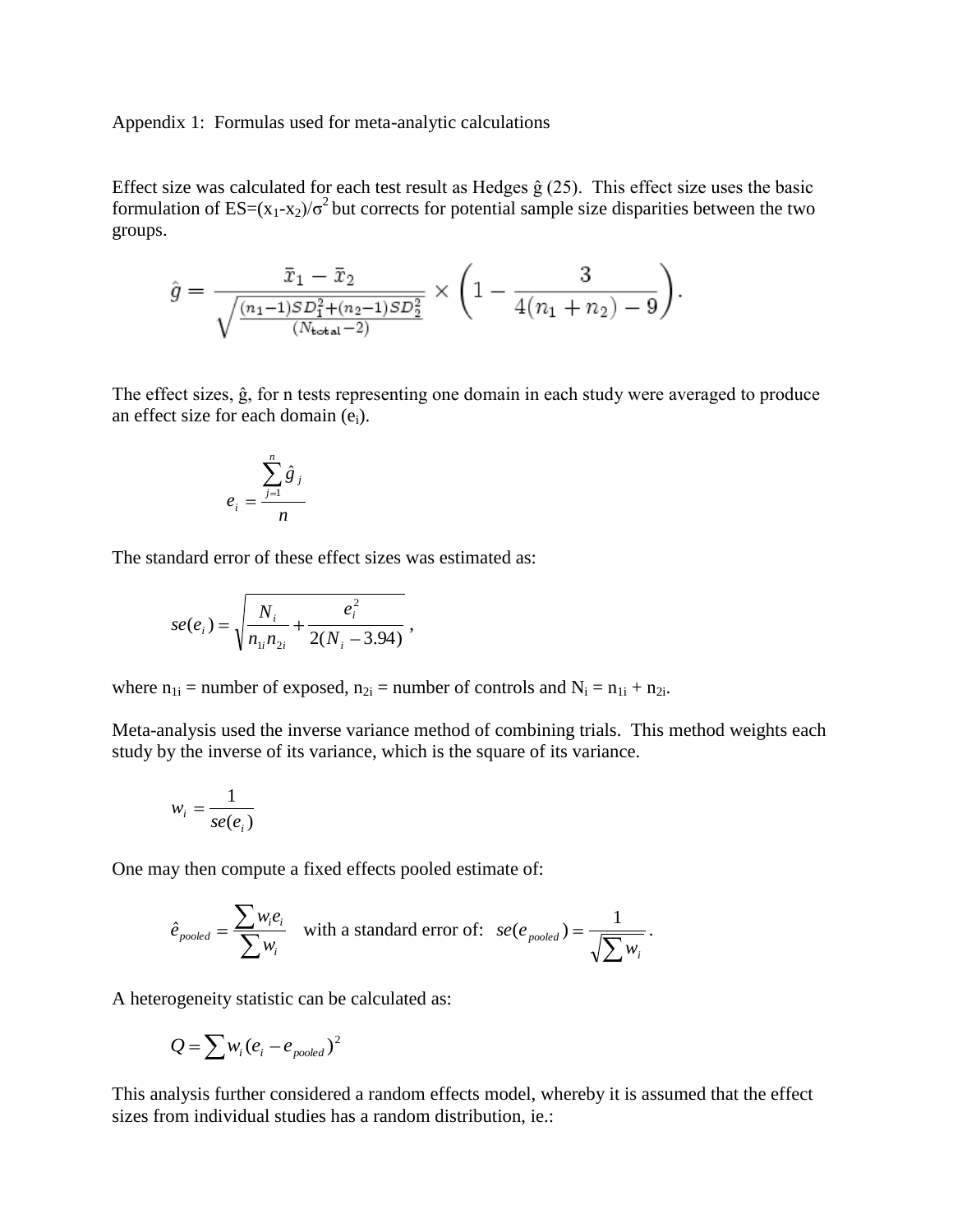Appendix 1: Formulas used for meta-analytic calculations

Effect size was calculated for each test result as Hedges  $\hat{g}$  (25). This effect size uses the basic formulation of  $ES=(x_1-x_2)/\sigma^2$  but corrects for potential sample size disparities between the two groups.

$$
\hat{g} = \frac{\bar{x}_1 - \bar{x}_2}{\sqrt{\frac{(n_1 - 1)SD_1^2 + (n_2 - 1)SD_2^2}{(N_{\text{total}} - 2)}}} \times \left(1 - \frac{3}{4(n_1 + n_2) - 9}\right).
$$

The effect sizes, ĝ, for n tests representing one domain in each study were averaged to produce an effect size for each domain  $(e_i)$ .

$$
e_i = \frac{\sum_{j=1}^n \hat{g}_j}{n}
$$

The standard error of these effect sizes was estimated as:

$$
se(e_i) = \sqrt{\frac{N_i}{n_{1i}n_{2i}} + \frac{e_i^2}{2(N_i - 3.94)}},
$$

where  $n_{1i}$  = number of exposed,  $n_{2i}$  = number of controls and  $N_i = n_{1i} + n_{2i}$ .

Meta-analysis used the inverse variance method of combining trials. This method weights each study by the inverse of its variance, which is the square of its variance.

$$
w_i = \frac{1}{se(e_i)}
$$

One may then compute a fixed effects pooled estimate of:

$$
\hat{e}_{pooled} = \frac{\sum w_i e_i}{\sum w_i} \quad \text{with a standard error of:} \quad \text{se}(e_{pooled}) = \frac{1}{\sqrt{\sum w_i}}.
$$

A heterogeneity statistic can be calculated as:

$$
Q = \sum w_i (e_i - e_{pooled})^2
$$

This analysis further considered a random effects model, whereby it is assumed that the effect sizes from individual studies has a random distribution, ie.: